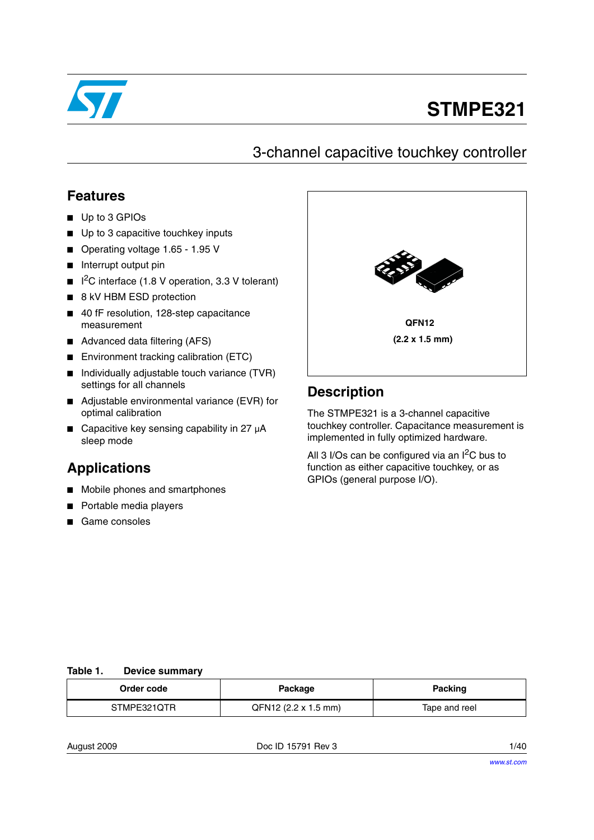

# **STMPE321**

## 3-channel capacitive touchkey controller

## **Features**

- Up to 3 GPIOs
- Up to 3 capacitive touchkey inputs
- Operating voltage 1.65 1.95 V
- Interrupt output pin
- $\blacksquare$  I<sup>2</sup>C interface (1.8 V operation, 3.3 V tolerant)
- 8 kV HBM ESD protection
- 40 fF resolution, 128-step capacitance measurement
- Advanced data filtering (AFS)
- Environment tracking calibration (ETC)
- Individually adjustable touch variance (TVR) settings for all channels
- Adjustable environmental variance (EVR) for optimal calibration
- Capacitive key sensing capability in 27 µA sleep mode

## **Applications**

- Mobile phones and smartphones
- Portable media players
- Game consoles



## **Description**

The STMPE321 is a 3-channel capacitive touchkey controller. Capacitance measurement is implemented in fully optimized hardware.

All 3 I/Os can be configured via an  $I^2C$  bus to function as either capacitive touchkey, or as GPIOs (general purpose I/O).

### **Table 1. Device summary**

| Order code  | Package              | Packing       |
|-------------|----------------------|---------------|
| STMPE321QTR | QFN12 (2.2 x 1.5 mm) | Tape and reel |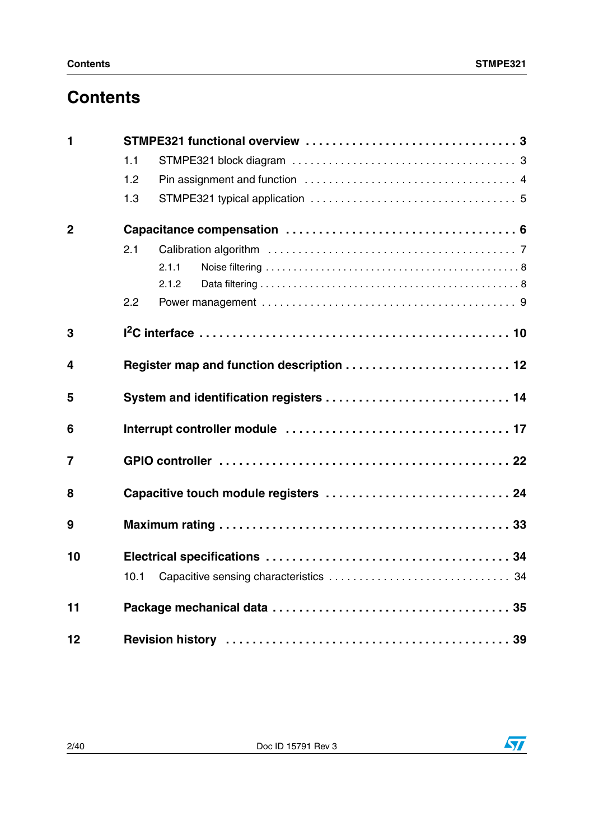## **Contents**

| $\mathbf{1}$   |                                           |  |  |  |  |
|----------------|-------------------------------------------|--|--|--|--|
|                | 1.1                                       |  |  |  |  |
|                | 1.2                                       |  |  |  |  |
|                | 1.3                                       |  |  |  |  |
| $\overline{2}$ |                                           |  |  |  |  |
|                | 2.1                                       |  |  |  |  |
|                | 2.1.1                                     |  |  |  |  |
|                | 2.1.2                                     |  |  |  |  |
|                | 2.2                                       |  |  |  |  |
| 3              |                                           |  |  |  |  |
| 4              | Register map and function description  12 |  |  |  |  |
| 5              | System and identification registers  14   |  |  |  |  |
| 6              |                                           |  |  |  |  |
| $\overline{7}$ |                                           |  |  |  |  |
| 8              | Capacitive touch module registers  24     |  |  |  |  |
| 9              |                                           |  |  |  |  |
| 10             |                                           |  |  |  |  |
|                | 10.1                                      |  |  |  |  |
| 11             |                                           |  |  |  |  |
| 12             |                                           |  |  |  |  |

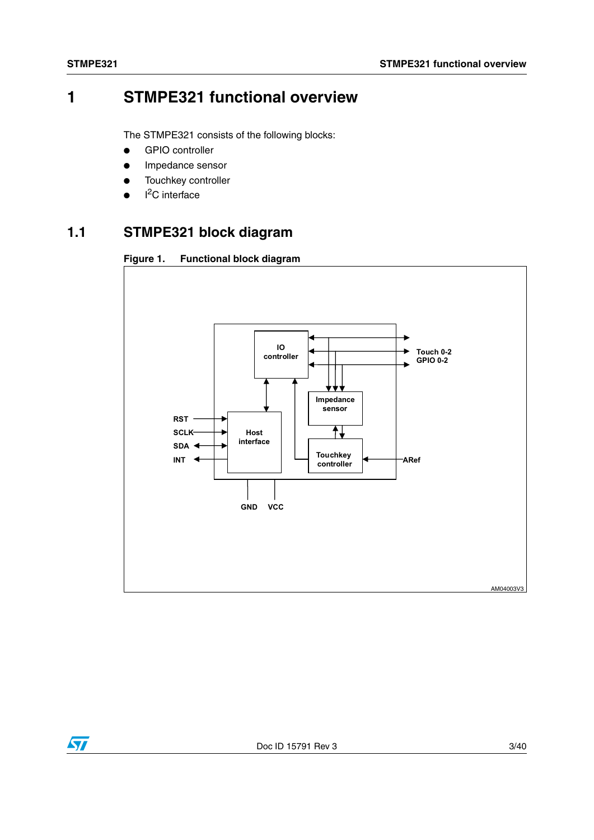## **1 STMPE321 functional overview**

The STMPE321 consists of the following blocks:

- GPIO controller
- Impedance sensor
- Touchkey controller
- $\bullet$  I<sup>2</sup>C interface

## **1.1 STMPE321 block diagram**

<span id="page-2-0"></span>



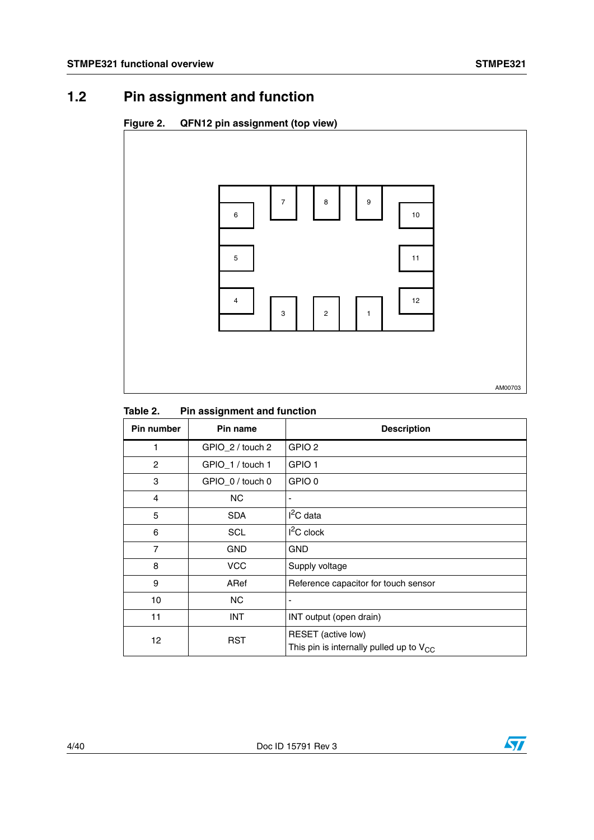## **1.2 Pin assignment and function**

### **Figure 2. QFN12 pin assignment (top view)**



### Table 2. **Pin assignment and function**

| Pin number     | Pin name         | <b>Description</b>                                                 |
|----------------|------------------|--------------------------------------------------------------------|
| 1              | GPIO_2 / touch 2 | GPIO <sub>2</sub>                                                  |
| $\overline{c}$ | GPIO_1 / touch 1 | GPIO <sub>1</sub>                                                  |
| 3              | GPIO_0 / touch 0 | GPIO 0                                                             |
| 4              | <b>NC</b>        |                                                                    |
| 5              | <b>SDA</b>       | $I^2C$ data                                                        |
| 6              | <b>SCL</b>       | $I2C$ clock                                                        |
| 7              | <b>GND</b>       | <b>GND</b>                                                         |
| 8              | <b>VCC</b>       | Supply voltage                                                     |
| 9              | ARef             | Reference capacitor for touch sensor                               |
| 10             | NC.              |                                                                    |
| 11             | <b>INT</b>       | INT output (open drain)                                            |
| 12             | <b>RST</b>       | RESET (active low)<br>This pin is internally pulled up to $V_{CC}$ |

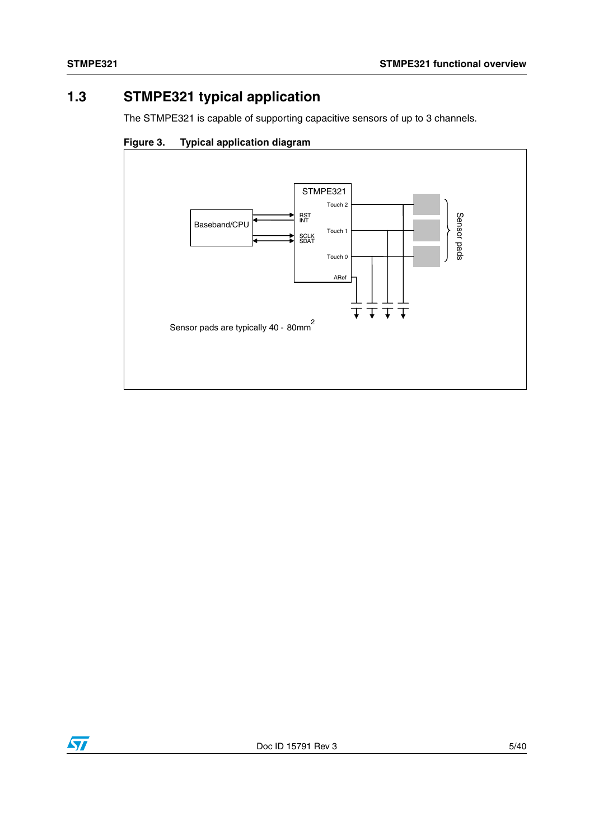## <span id="page-4-0"></span>**1.3 STMPE321 typical application**

The STMPE321 is capable of supporting capacitive sensors of up to 3 channels.





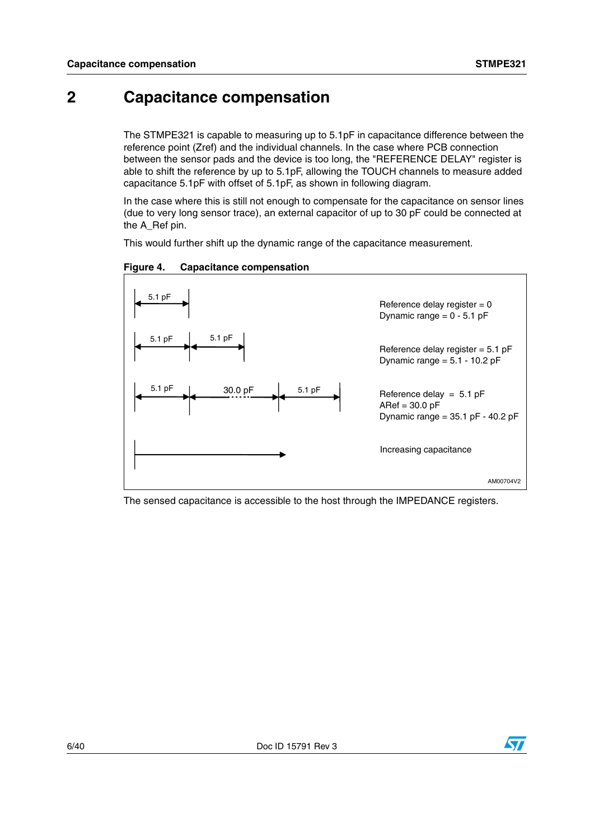## <span id="page-5-0"></span>**2 Capacitance compensation**

The STMPE321 is capable to measuring up to 5.1pF in capacitance difference between the reference point (Zref) and the individual channels. In the case where PCB connection between the sensor pads and the device is too long, the "REFERENCE DELAY" register is able to shift the reference by up to 5.1pF, allowing the TOUCH channels to measure added capacitance 5.1pF with offset of 5.1pF, as shown in following diagram.

In the case where this is still not enough to compensate for the capacitance on sensor lines (due to very long sensor trace), an external capacitor of up to 30 pF could be connected at the A\_Ref pin.

This would further shift up the dynamic range of the capacitance measurement.



<span id="page-5-1"></span>**Figure 4. Capacitance compensation**

The sensed capacitance is accessible to the host through the IMPEDANCE registers.

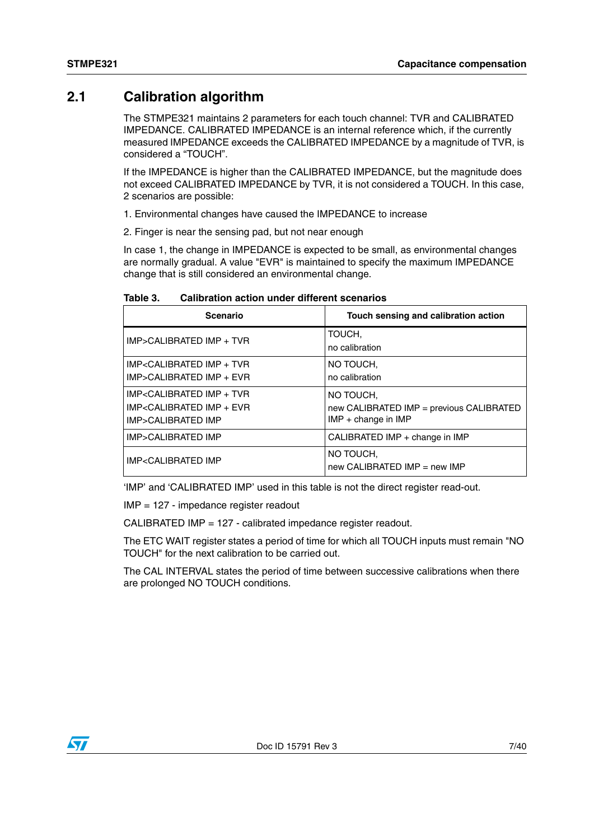## **2.1 Calibration algorithm**

The STMPE321 maintains 2 parameters for each touch channel: TVR and CALIBRATED IMPEDANCE. CALIBRATED IMPEDANCE is an internal reference which, if the currently measured IMPEDANCE exceeds the CALIBRATED IMPEDANCE by a magnitude of TVR, is considered a "TOUCH".

If the IMPEDANCE is higher than the CALIBRATED IMPEDANCE, but the magnitude does not exceed CALIBRATED IMPEDANCE by TVR, it is not considered a TOUCH. In this case, 2 scenarios are possible:

- 1. Environmental changes have caused the IMPEDANCE to increase
- 2. Finger is near the sensing pad, but not near enough

In case 1, the change in IMPEDANCE is expected to be small, as environmental changes are normally gradual. A value "EVR" is maintained to specify the maximum IMPEDANCE change that is still considered an environmental change.

| Table 3. | Calibration action under different scenarios |
|----------|----------------------------------------------|
|----------|----------------------------------------------|

| <b>Scenario</b>                                                                                          | Touch sensing and calibration action        |
|----------------------------------------------------------------------------------------------------------|---------------------------------------------|
| IMP>CALIBRATED IMP + TVR                                                                                 | TOUCH,<br>no calibration                    |
| IMP <calibrated +="" imp="" td="" tvr<=""><td>NO TOUCH.</td></calibrated>                                | NO TOUCH.                                   |
| IMP>CALIBRATED IMP + EVR                                                                                 | no calibration                              |
| IMP <calibrated +="" imp="" td="" tvr<=""><td>NO TOUCH,</td></calibrated>                                | NO TOUCH,                                   |
| IMP <calibrated +="" evr<="" imp="" td=""><td>new CALIBRATED IMP = previous CALIBRATED</td></calibrated> | new CALIBRATED IMP = previous CALIBRATED    |
| IMP>CALIBRATED IMP                                                                                       | $IMP + change in IMP$                       |
| IMP>CALIBRATED IMP                                                                                       | CALIBRATED IMP + change in IMP              |
| <b>IMP<calibrated b="" imp<=""></calibrated></b>                                                         | NO TOUCH,<br>new CALIBRATED IMP $=$ new IMP |

'IMP' and 'CALIBRATED IMP' used in this table is not the direct register read-out.

IMP = 127 - impedance register readout

CALIBRATED IMP = 127 - calibrated impedance register readout.

The ETC WAIT register states a period of time for which all TOUCH inputs must remain "NO TOUCH" for the next calibration to be carried out.

The CAL INTERVAL states the period of time between successive calibrations when there are prolonged NO TOUCH conditions.

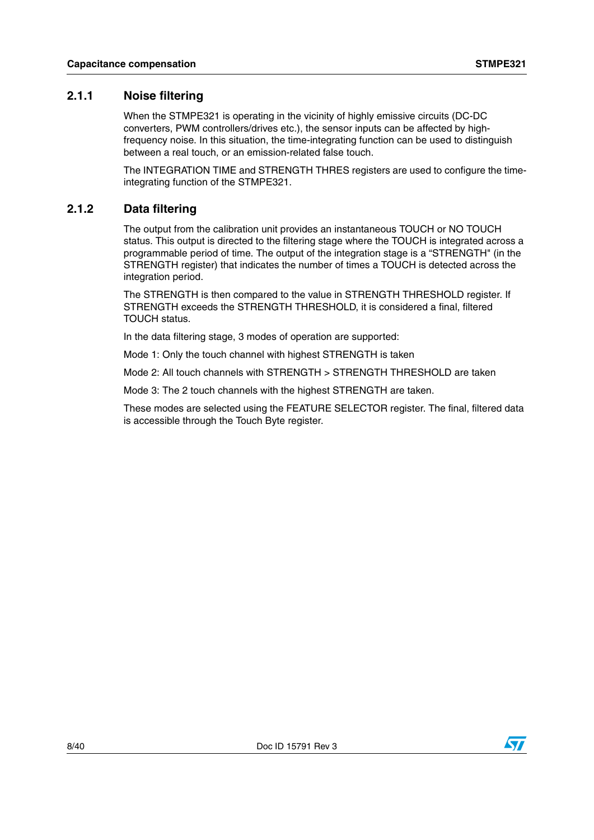### **2.1.1 Noise filtering**

When the STMPE321 is operating in the vicinity of highly emissive circuits (DC-DC converters, PWM controllers/drives etc.), the sensor inputs can be affected by highfrequency noise. In this situation, the time-integrating function can be used to distinguish between a real touch, or an emission-related false touch.

The INTEGRATION TIME and STRENGTH THRES registers are used to configure the timeintegrating function of the STMPE321.

### **2.1.2 Data filtering**

The output from the calibration unit provides an instantaneous TOUCH or NO TOUCH status. This output is directed to the filtering stage where the TOUCH is integrated across a programmable period of time. The output of the integration stage is a "STRENGTH" (in the STRENGTH register) that indicates the number of times a TOUCH is detected across the integration period.

The STRENGTH is then compared to the value in STRENGTH THRESHOLD register. If STRENGTH exceeds the STRENGTH THRESHOLD, it is considered a final, filtered TOUCH status.

In the data filtering stage, 3 modes of operation are supported:

Mode 1: Only the touch channel with highest STRENGTH is taken

Mode 2: All touch channels with STRENGTH > STRENGTH THRESHOLD are taken

Mode 3: The 2 touch channels with the highest STRENGTH are taken.

These modes are selected using the FEATURE SELECTOR register. The final, filtered data is accessible through the Touch Byte register.

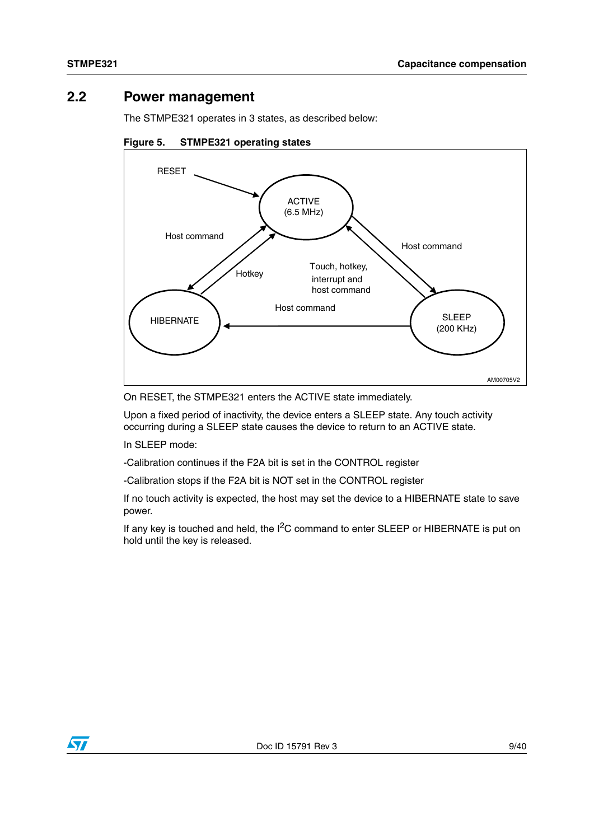## **2.2 Power management**

The STMPE321 operates in 3 states, as described below:





On RESET, the STMPE321 enters the ACTIVE state immediately.

Upon a fixed period of inactivity, the device enters a SLEEP state. Any touch activity occurring during a SLEEP state causes the device to return to an ACTIVE state.

In SLEEP mode:

-Calibration continues if the F2A bit is set in the CONTROL register

-Calibration stops if the F2A bit is NOT set in the CONTROL register

If no touch activity is expected, the host may set the device to a HIBERNATE state to save power.

If any key is touched and held, the  $I^2C$  command to enter SLEEP or HIBERNATE is put on hold until the key is released.

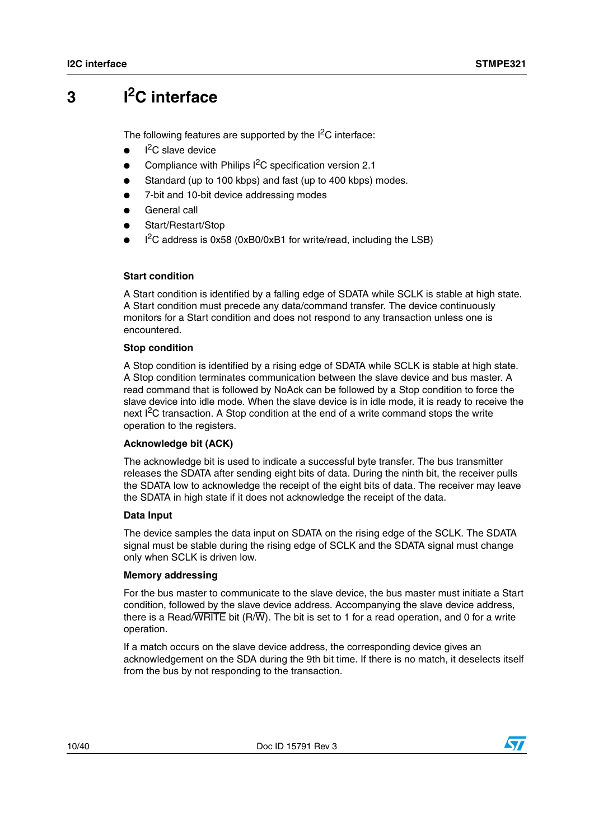## **3 I2C interface**

The following features are supported by the  $I<sup>2</sup>C$  interface:

- $\bullet$  I<sup>2</sup>C slave device
- Compliance with Philips  $I^2C$  specification version 2.1
- Standard (up to 100 kbps) and fast (up to 400 kbps) modes.
- 7-bit and 10-bit device addressing modes
- General call
- Start/Restart/Stop
- $\bullet$  I<sup>2</sup>C address is 0x58 (0xB0/0xB1 for write/read, including the LSB)

### **Start condition**

A Start condition is identified by a falling edge of SDATA while SCLK is stable at high state. A Start condition must precede any data/command transfer. The device continuously monitors for a Start condition and does not respond to any transaction unless one is encountered.

### **Stop condition**

A Stop condition is identified by a rising edge of SDATA while SCLK is stable at high state. A Stop condition terminates communication between the slave device and bus master. A read command that is followed by NoAck can be followed by a Stop condition to force the slave device into idle mode. When the slave device is in idle mode, it is ready to receive the next I<sup>2</sup>C transaction. A Stop condition at the end of a write command stops the write operation to the registers.

### **Acknowledge bit (ACK)**

The acknowledge bit is used to indicate a successful byte transfer. The bus transmitter releases the SDATA after sending eight bits of data. During the ninth bit, the receiver pulls the SDATA low to acknowledge the receipt of the eight bits of data. The receiver may leave the SDATA in high state if it does not acknowledge the receipt of the data.

### **Data Input**

The device samples the data input on SDATA on the rising edge of the SCLK. The SDATA signal must be stable during the rising edge of SCLK and the SDATA signal must change only when SCLK is driven low.

### **Memory addressing**

For the bus master to communicate to the slave device, the bus master must initiate a Start condition, followed by the slave device address. Accompanying the slave device address, there is a Read/WRITE bit (R/W). The bit is set to 1 for a read operation, and 0 for a write operation.

If a match occurs on the slave device address, the corresponding device gives an acknowledgement on the SDA during the 9th bit time. If there is no match, it deselects itself from the bus by not responding to the transaction.

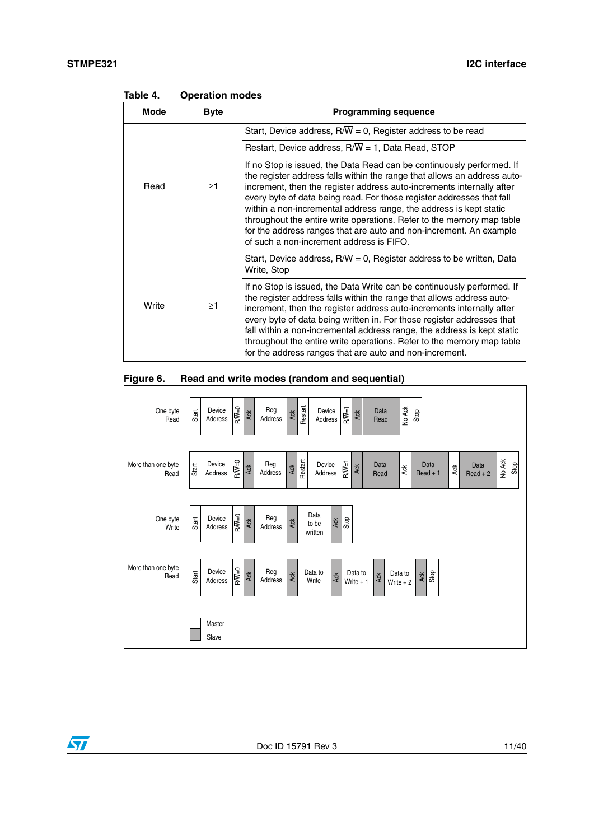| Mode  | <b>Byte</b> | <b>Programming sequence</b>                                                                                                                                                                                                                                                                                                                                                                                                                                                                                                                                          |  |  |
|-------|-------------|----------------------------------------------------------------------------------------------------------------------------------------------------------------------------------------------------------------------------------------------------------------------------------------------------------------------------------------------------------------------------------------------------------------------------------------------------------------------------------------------------------------------------------------------------------------------|--|--|
| Read  |             | Start, Device address, $R/W = 0$ , Register address to be read                                                                                                                                                                                                                                                                                                                                                                                                                                                                                                       |  |  |
|       |             | Restart, Device address, R/W = 1, Data Read, STOP                                                                                                                                                                                                                                                                                                                                                                                                                                                                                                                    |  |  |
|       | $\geq$ 1    | If no Stop is issued, the Data Read can be continuously performed. If<br>the register address falls within the range that allows an address auto-<br>increment, then the register address auto-increments internally after<br>every byte of data being read. For those register addresses that fall<br>within a non-incremental address range, the address is kept static<br>throughout the entire write operations. Refer to the memory map table<br>for the address ranges that are auto and non-increment. An example<br>of such a non-increment address is FIFO. |  |  |
| Write |             | Start, Device address, $R/\overline{W}$ = 0, Register address to be written, Data<br>Write, Stop                                                                                                                                                                                                                                                                                                                                                                                                                                                                     |  |  |
|       | $\geq$ 1    | If no Stop is issued, the Data Write can be continuously performed. If<br>the register address falls within the range that allows address auto-<br>increment, then the register address auto-increments internally after<br>every byte of data being written in. For those register addresses that<br>fall within a non-incremental address range, the address is kept static<br>throughout the entire write operations. Refer to the memory map table<br>for the address ranges that are auto and non-increment.                                                    |  |  |

**Table 4. Operation modes**



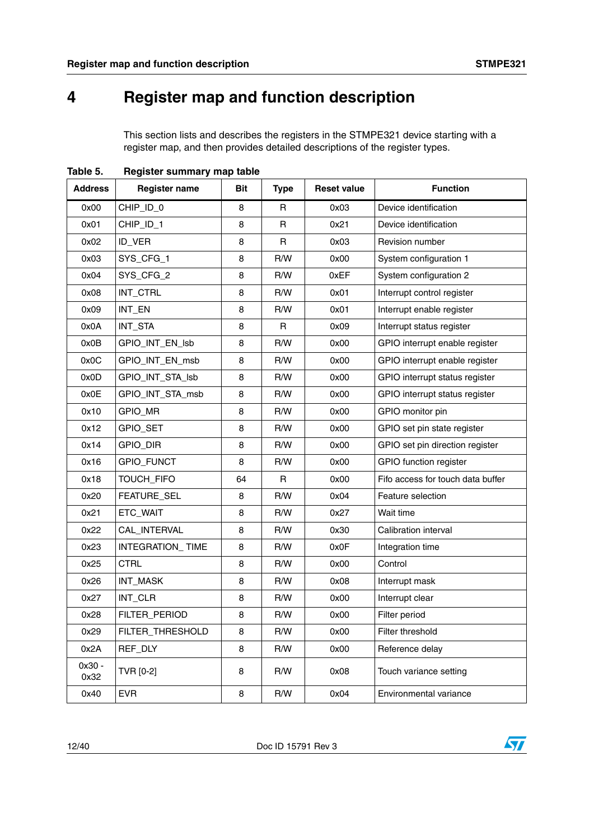## <span id="page-11-0"></span>**4 Register map and function description**

This section lists and describes the registers in the STMPE321 device starting with a register map, and then provides detailed descriptions of the register types.

| <b>Address</b> | <b>Register name</b> | <b>Bit</b> | <b>Type</b>  | <b>Reset value</b> | <b>Function</b>                   |  |
|----------------|----------------------|------------|--------------|--------------------|-----------------------------------|--|
| 0x00           | CHIP_ID_0            | 8          | R            | 0x03               | Device identification             |  |
| 0x01           | CHIP_ID_1            | 8          | R            | 0x21               | Device identification             |  |
| 0x02           | ID_VER               | 8          | $\mathsf{R}$ | 0x03               | Revision number                   |  |
| 0x03           | SYS_CFG_1            | 8          | R/W          | 0x00               | System configuration 1            |  |
| 0x04           | SYS_CFG_2            | 8          | R/W          | 0xEF               | System configuration 2            |  |
| 0x08           | INT_CTRL             | 8          | R/W          | 0x01               | Interrupt control register        |  |
| 0x09           | INT_EN               | 8          | R/W          | 0x01               | Interrupt enable register         |  |
| 0x0A           | INT_STA              | 8          | R            | 0x09               | Interrupt status register         |  |
| 0x0B           | GPIO_INT_EN_Isb      | 8          | R/W          | 0x00               | GPIO interrupt enable register    |  |
| 0x0C           | GPIO_INT_EN_msb      | 8          | R/W          | 0x00               | GPIO interrupt enable register    |  |
| 0x0D           | GPIO_INT_STA_Isb     | 8          | R/W          | 0x00               | GPIO interrupt status register    |  |
| 0x0E           | GPIO_INT_STA_msb     | 8          | R/W          | 0x00               | GPIO interrupt status register    |  |
| 0x10           | <b>GPIO_MR</b>       | 8          | R/W          | 0x00               | GPIO monitor pin                  |  |
| 0x12           | GPIO_SET             | 8          | R/W          | 0x00               | GPIO set pin state register       |  |
| 0x14           | GPIO_DIR             | 8          | R/W          | 0x00               | GPIO set pin direction register   |  |
| 0x16           | <b>GPIO_FUNCT</b>    | 8          | R/W          | 0x00               | <b>GPIO</b> function register     |  |
| 0x18           | TOUCH_FIFO           | 64         | R            | 0x00               | Fifo access for touch data buffer |  |
| 0x20           | FEATURE_SEL          | 8          | R/W          | 0x04               | Feature selection                 |  |
| 0x21           | ETC_WAIT             | 8          | R/W          | 0x27               | Wait time                         |  |
| 0x22           | CAL_INTERVAL         | 8          | R/W          | 0x30               | Calibration interval              |  |
| 0x23           | INTEGRATION_TIME     | 8          | R/W          | 0x0F               | Integration time                  |  |
| 0x25           | <b>CTRL</b>          | 8          | R/W          | 0x00               | Control                           |  |
| 0x26           | INT_MASK             | 8          | R/W          | 0x08               | Interrupt mask                    |  |
| 0x27           | INT_CLR              | 8          | R/W          | 0x00               | Interrupt clear                   |  |
| 0x28           | FILTER_PERIOD        | 8          | R/W          | 0x00               | Filter period                     |  |
| 0x29           | FILTER_THRESHOLD     | 8          | R/W          | 0x00               | Filter threshold                  |  |
| 0x2A           | REF_DLY              | 8          | R/W          | 0x00               | Reference delay                   |  |
| 0x30 -<br>0x32 | TVR [0-2]            | 8          | R/W          | 0x08               | Touch variance setting            |  |
| 0x40           | <b>EVR</b>           | 8          | R/W          | 0x04               | Environmental variance            |  |

**Table 5. Register summary map table**

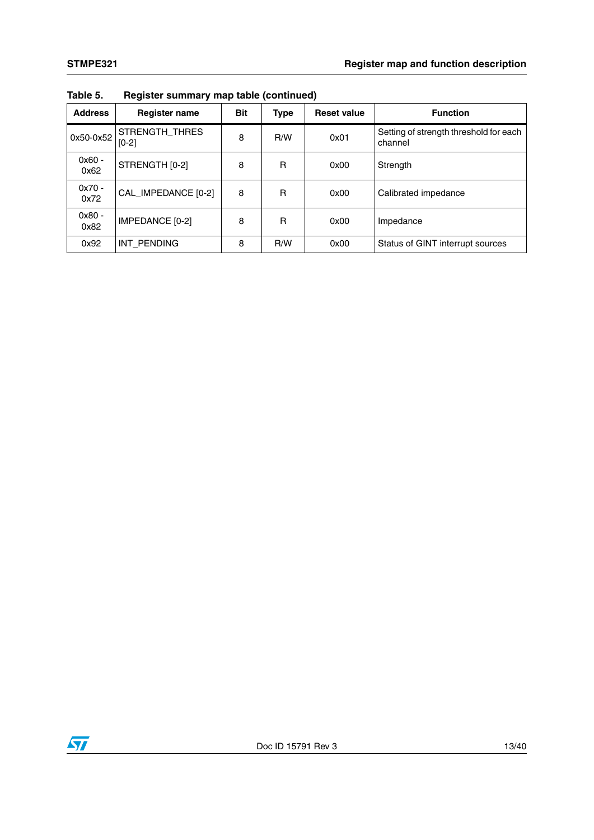| <b>Address</b>   | <b>Register name</b>      | <b>Bit</b> | <b>Type</b> | <b>Reset value</b> | <b>Function</b>                                   |  |
|------------------|---------------------------|------------|-------------|--------------------|---------------------------------------------------|--|
| 0x50-0x52        | STRENGTH_THRES<br>$[0-2]$ | 8          | R/W         | 0x01               | Setting of strength threshold for each<br>channel |  |
| $0x60 -$<br>0x62 | STRENGTH [0-2]            | 8          | R           | 0x00               | Strength                                          |  |
| $0x70 -$<br>0x72 | CAL_IMPEDANCE [0-2]       | 8          | R           | 0x00               | Calibrated impedance                              |  |
| $0x80 -$<br>0x82 | IMPEDANCE [0-2]           | 8          | R           | 0x00               | Impedance                                         |  |
| 0x92             | INT PENDING               | 8          | R/W         | 0x00               | Status of GINT interrupt sources                  |  |

**Table 5. Register summary map table (continued)**

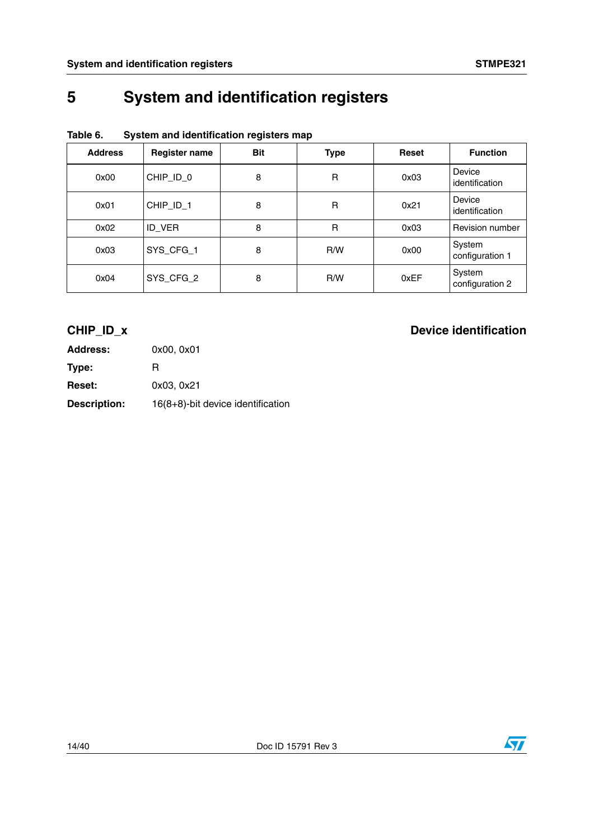# <span id="page-13-0"></span>**5 System and identification registers**

| <b>Address</b> | <b>Register name</b> | <b>Bit</b> | <b>Type</b>  | <b>Reset</b> | <b>Function</b>           |
|----------------|----------------------|------------|--------------|--------------|---------------------------|
| 0x00           | CHIP_ID_0            | 8          | R            | 0x03         | Device<br>identification  |
| 0x01           | CHIP_ID_1            | 8          | R            | 0x21         | Device<br>identification  |
| 0x02           | ID_VER               | 8          | $\mathsf{R}$ | 0x03         | Revision number           |
| 0x03           | SYS_CFG_1            | 8          | R/W          | 0x00         | System<br>configuration 1 |
| 0x04           | SYS_CFG_2            | 8          | R/W          | 0xEF         | System<br>configuration 2 |

## **Table 6. System and identification registers map**

| <b>Address:</b>     | 0x00, 0x01                        |
|---------------------|-----------------------------------|
| Type:               | R                                 |
| <b>Reset:</b>       | 0x03, 0x21                        |
| <b>Description:</b> | 16(8+8)-bit device identification |

## **CHIP\_ID\_x** Device identification

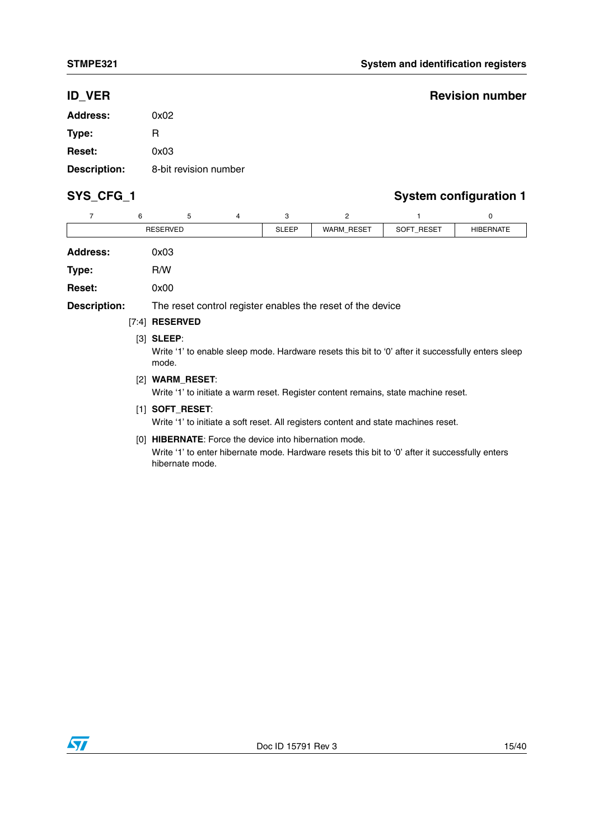## **ID\_VER** Revision number

| Address:            | 0x02                  |
|---------------------|-----------------------|
| Type:               | R                     |
| <b>Reset:</b>       | 0x03                  |
| <b>Description:</b> | 8-bit revision number |

## SYS\_CFG\_1 SYS\_CFG\_1

| 7                   | 6                                                                                                       | 5                                                                                                                           | 4 | 3            | $\overline{2}$ |            | 0                |  |  |  |
|---------------------|---------------------------------------------------------------------------------------------------------|-----------------------------------------------------------------------------------------------------------------------------|---|--------------|----------------|------------|------------------|--|--|--|
|                     | <b>RESERVED</b>                                                                                         |                                                                                                                             |   | <b>SLEEP</b> | WARM_RESET     | SOFT_RESET | <b>HIBERNATE</b> |  |  |  |
| <b>Address:</b>     |                                                                                                         | 0x03                                                                                                                        |   |              |                |            |                  |  |  |  |
| Type:               |                                                                                                         | R/W                                                                                                                         |   |              |                |            |                  |  |  |  |
| <b>Reset:</b>       |                                                                                                         | 0x00                                                                                                                        |   |              |                |            |                  |  |  |  |
| <b>Description:</b> | The reset control register enables the reset of the device                                              |                                                                                                                             |   |              |                |            |                  |  |  |  |
|                     | $[7:4]$ RESERVED                                                                                        |                                                                                                                             |   |              |                |            |                  |  |  |  |
|                     |                                                                                                         | $[3]$ SLEEP:<br>Write '1' to enable sleep mode. Hardware resets this bit to '0' after it successfully enters sleep<br>mode. |   |              |                |            |                  |  |  |  |
|                     | $[2]$ WARM_RESET:<br>Write '1' to initiate a warm reset. Register content remains, state machine reset. |                                                                                                                             |   |              |                |            |                  |  |  |  |

[1] **SOFT\_RESET**:

Write '1' to initiate a soft reset. All registers content and state machines reset.

[0] **HIBERNATE**: Force the device into hibernation mode. Write '1' to enter hibernate mode. Hardware resets this bit to '0' after it successfully enters hibernate mode.

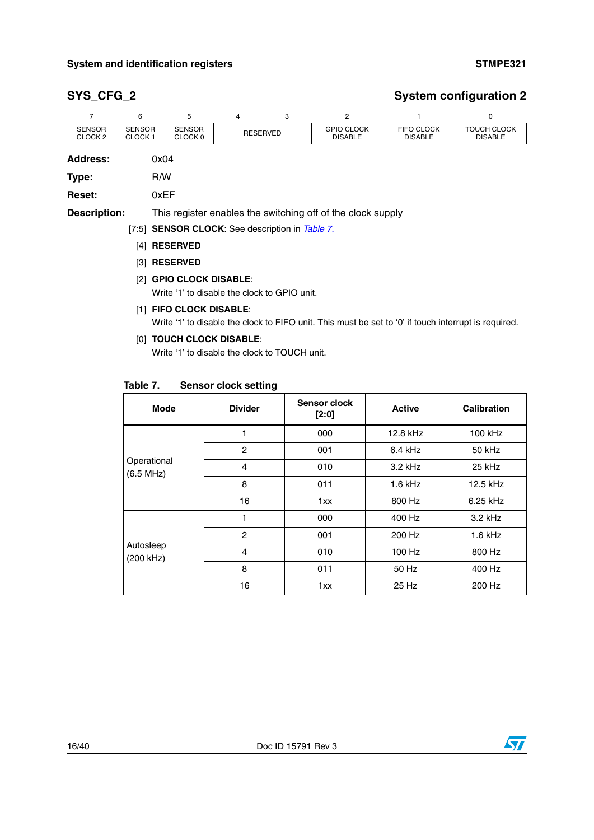## **SYS\_CFG\_2 System configuration 2**

|                                     | 6                                   | 5                                                           | 4               | 3 | 2                                   |                                     | 0                                    |  |
|-------------------------------------|-------------------------------------|-------------------------------------------------------------|-----------------|---|-------------------------------------|-------------------------------------|--------------------------------------|--|
| <b>SENSOR</b><br>CLOCK <sub>2</sub> | <b>SENSOR</b><br>CLOCK <sub>1</sub> | <b>SENSOR</b><br>CLOCK 0                                    | <b>RESERVED</b> |   | <b>GPIO CLOCK</b><br><b>DISABLE</b> | <b>FIFO CLOCK</b><br><b>DISABLE</b> | <b>TOUCH CLOCK</b><br><b>DISABLE</b> |  |
| <b>Address:</b>                     | 0x04                                |                                                             |                 |   |                                     |                                     |                                      |  |
| Type:                               |                                     | R/W                                                         |                 |   |                                     |                                     |                                      |  |
| <b>Reset:</b>                       |                                     | 0xEF                                                        |                 |   |                                     |                                     |                                      |  |
| <b>Description:</b>                 |                                     | This register enables the switching off of the clock supply |                 |   |                                     |                                     |                                      |  |

[7:5] **SENSOR CLOCK**: See description in *[Table 7.](#page-15-0)*

- [4] **RESERVED**
- [3] **RESERVED**
- [2] **GPIO CLOCK DISABLE**:

Write '1' to disable the clock to GPIO unit.

### [1] **FIFO CLOCK DISABLE**:

Write '1' to disable the clock to FIFO unit. This must be set to '0' if touch interrupt is required.

### [0] **TOUCH CLOCK DISABLE**:

Write '1' to disable the clock to TOUCH unit.

<span id="page-15-0"></span>

| Table 7. | <b>Sensor clock setting</b> |  |  |
|----------|-----------------------------|--|--|
|----------|-----------------------------|--|--|

| .                        | <b>OCHOOL ORDOR SOLUING</b> |                         |               |                    |
|--------------------------|-----------------------------|-------------------------|---------------|--------------------|
| Mode                     | <b>Divider</b>              | Sensor clock<br>$[2:0]$ | <b>Active</b> | <b>Calibration</b> |
|                          | 1                           | 000                     | 12.8 kHz      | 100 kHz            |
|                          | $\overline{2}$              | 001                     | $6.4$ kHz     | 50 kHz             |
| Operational<br>(6.5 MHz) | 4                           | 010                     | 3.2 kHz       | 25 kHz             |
|                          | 8                           | 011                     | $1.6$ kHz     | 12.5 kHz           |
|                          | 16                          | 1xx                     | 800 Hz        | 6.25 kHz           |
|                          | 1                           | 000                     | 400 Hz        | $3.2$ kHz          |
|                          | $\overline{2}$              | 001                     | 200 Hz        | $1.6$ kHz          |
| Autosleep<br>(200 kHz)   | 4                           | 010                     | 100 Hz        | 800 Hz             |
|                          | 8                           | 011                     | 50 Hz         | 400 Hz             |
|                          | 16                          | 1xx                     | 25 Hz         | 200 Hz             |

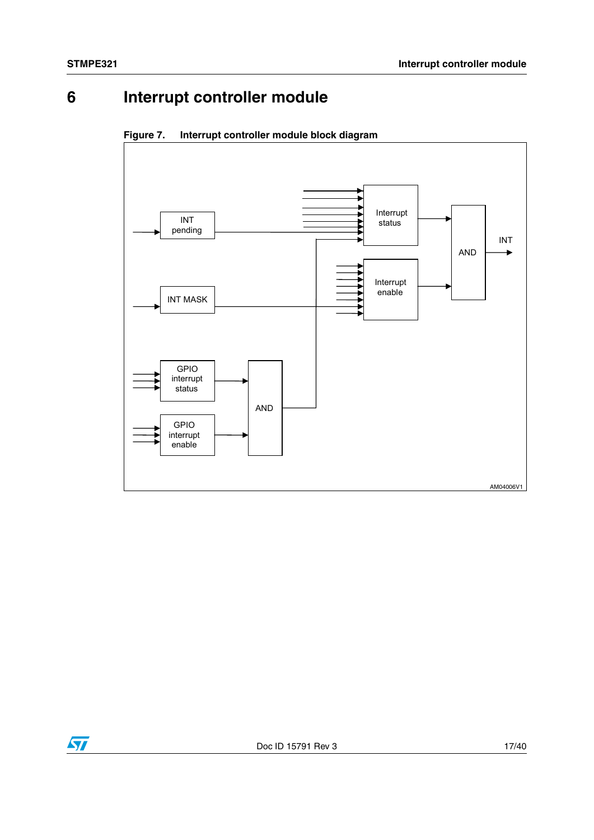## **6 Interrupt controller module**



**Figure 7. Interrupt controller module block diagram**

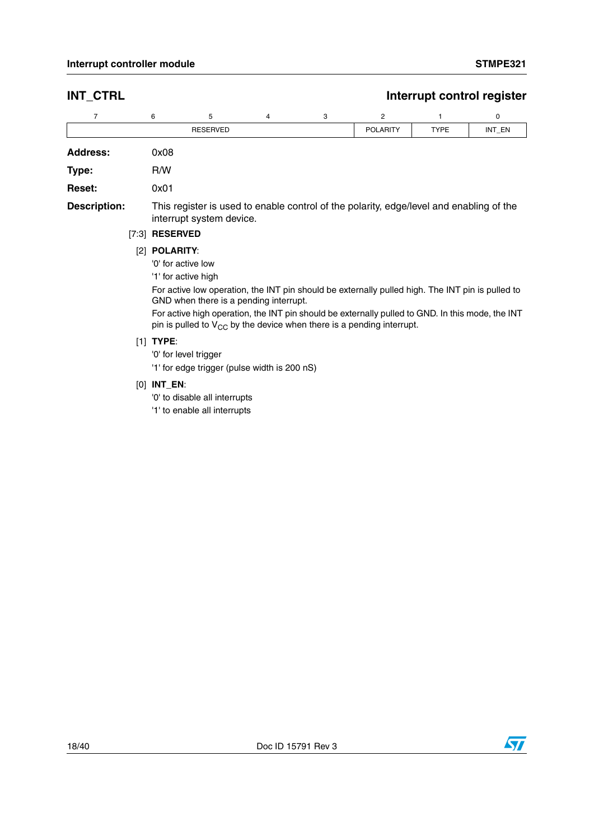## **INT\_CTRL Interrupt control register**

| $\overline{7}$                                                                                                                                                                                                                                                                                                                                                                                                                                                                                              |       | 6               | 5                        | 4 | 3 | 2                                                                                       | 1           | 0      |
|-------------------------------------------------------------------------------------------------------------------------------------------------------------------------------------------------------------------------------------------------------------------------------------------------------------------------------------------------------------------------------------------------------------------------------------------------------------------------------------------------------------|-------|-----------------|--------------------------|---|---|-----------------------------------------------------------------------------------------|-------------|--------|
|                                                                                                                                                                                                                                                                                                                                                                                                                                                                                                             |       |                 | <b>RESERVED</b>          |   |   | <b>POLARITY</b>                                                                         | <b>TYPE</b> | INT_EN |
| <b>Address:</b>                                                                                                                                                                                                                                                                                                                                                                                                                                                                                             |       | 0x08            |                          |   |   |                                                                                         |             |        |
| Type:                                                                                                                                                                                                                                                                                                                                                                                                                                                                                                       |       | R/W             |                          |   |   |                                                                                         |             |        |
| <b>Reset:</b>                                                                                                                                                                                                                                                                                                                                                                                                                                                                                               |       | 0x01            |                          |   |   |                                                                                         |             |        |
| <b>Description:</b>                                                                                                                                                                                                                                                                                                                                                                                                                                                                                         | [7:3] | <b>RESERVED</b> | interrupt system device. |   |   | This register is used to enable control of the polarity, edge/level and enabling of the |             |        |
| <b>POLARITY:</b><br>$\lceil 2 \rceil$<br>'0' for active low<br>'1' for active high<br>For active low operation, the INT pin should be externally pulled high. The INT pin is pulled to<br>GND when there is a pending interrupt.<br>For active high operation, the INT pin should be externally pulled to GND. In this mode, the INT<br>pin is pulled to $V_{CC}$ by the device when there is a pending interrupt.<br>TYPE:<br>[1]<br>'0' for level trigger<br>'1' for edge trigger (pulse width is 200 nS) |       |                 |                          |   |   |                                                                                         |             |        |
|                                                                                                                                                                                                                                                                                                                                                                                                                                                                                                             |       |                 |                          |   |   |                                                                                         |             |        |

### [0] **INT\_EN**:

'0' to disable all interrupts

'1' to enable all interrupts

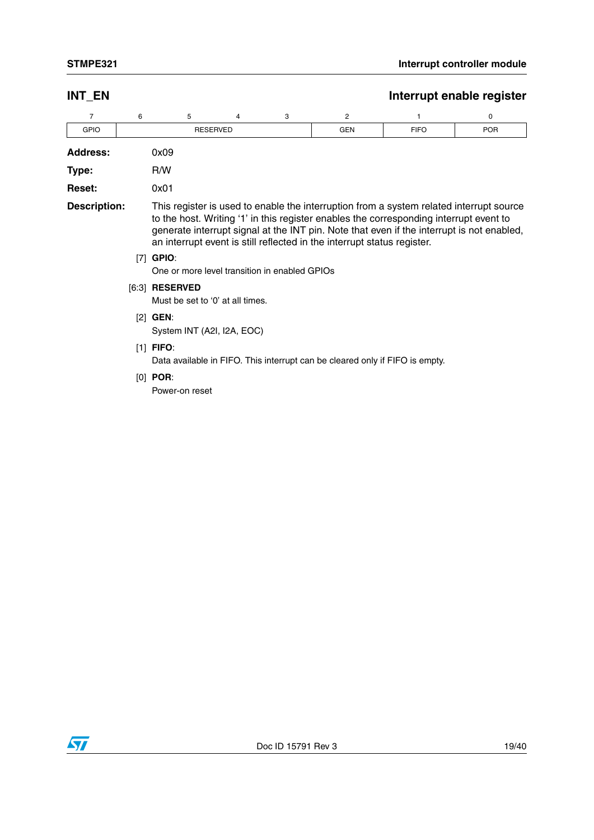### **INT\_EN** INT\_EN

| GPIO | SERVED<br>DЕ |  |  | GEN | C <sub>1</sub> C<br>$\cdot$ $\cdot$ $\sim$ | POR |  |
|------|--------------|--|--|-----|--------------------------------------------|-----|--|

| <b>Address:</b> | 0x09 |
|-----------------|------|
|                 |      |

**Type:** R/W

**Reset:** 0x01

**Description:** This register is used to enable the interruption from a system related interrupt source to the host. Writing '1' in this register enables the corresponding interrupt event to generate interrupt signal at the INT pin. Note that even if the interrupt is not enabled, an interrupt event is still reflected in the interrupt status register.

[7] **GPIO**:

One or more level transition in enabled GPIOs

[6:3] **RESERVED**

Must be set to '0' at all times.

- [2] **GEN**: System INT (A2I, I2A, EOC)
- [1] **FIFO**:

Data available in FIFO. This interrupt can be cleared only if FIFO is empty.

[0] **POR**:

Power-on reset

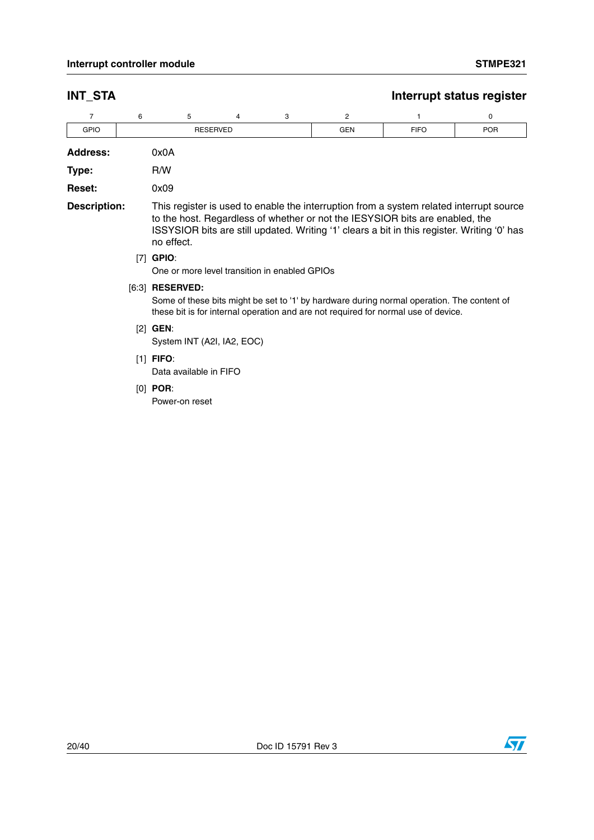| <b>INT_STA</b>      |   |                                                                                                                                                                                                                                                                                      |                                               |   |                |             | Interrupt status register |  |  |
|---------------------|---|--------------------------------------------------------------------------------------------------------------------------------------------------------------------------------------------------------------------------------------------------------------------------------------|-----------------------------------------------|---|----------------|-------------|---------------------------|--|--|
| $\overline{7}$      | 6 | 5                                                                                                                                                                                                                                                                                    | 4                                             | 3 | $\overline{2}$ | 1           | 0                         |  |  |
| <b>GPIO</b>         |   |                                                                                                                                                                                                                                                                                      | <b>RESERVED</b>                               |   | <b>GEN</b>     | <b>FIFO</b> | <b>POR</b>                |  |  |
| <b>Address:</b>     |   | 0x0A                                                                                                                                                                                                                                                                                 |                                               |   |                |             |                           |  |  |
| Type:               |   | R/W                                                                                                                                                                                                                                                                                  |                                               |   |                |             |                           |  |  |
| <b>Reset:</b>       |   | 0x09                                                                                                                                                                                                                                                                                 |                                               |   |                |             |                           |  |  |
| <b>Description:</b> |   | This register is used to enable the interruption from a system related interrupt source<br>to the host. Regardless of whether or not the IESYSIOR bits are enabled, the<br>ISSYSIOR bits are still updated. Writing '1' clears a bit in this register. Writing '0' has<br>no effect. |                                               |   |                |             |                           |  |  |
|                     |   | $[7]$ GPIO:                                                                                                                                                                                                                                                                          | One or more level transition in enabled GPIOs |   |                |             |                           |  |  |
|                     |   | [6:3] <b>RESERVED:</b><br>Some of these bits might be set to '1' by hardware during normal operation. The content of<br>these bit is for internal operation and are not required for normal use of device.                                                                           |                                               |   |                |             |                           |  |  |
|                     |   | $[2]$ GEN:<br>System INT (A2I, IA2, EOC)                                                                                                                                                                                                                                             |                                               |   |                |             |                           |  |  |
|                     |   | $[1]$ FIFO:<br>Data available in FIFO                                                                                                                                                                                                                                                |                                               |   |                |             |                           |  |  |
|                     |   | $[0]$ POR:<br>Power-on reset                                                                                                                                                                                                                                                         |                                               |   |                |             |                           |  |  |

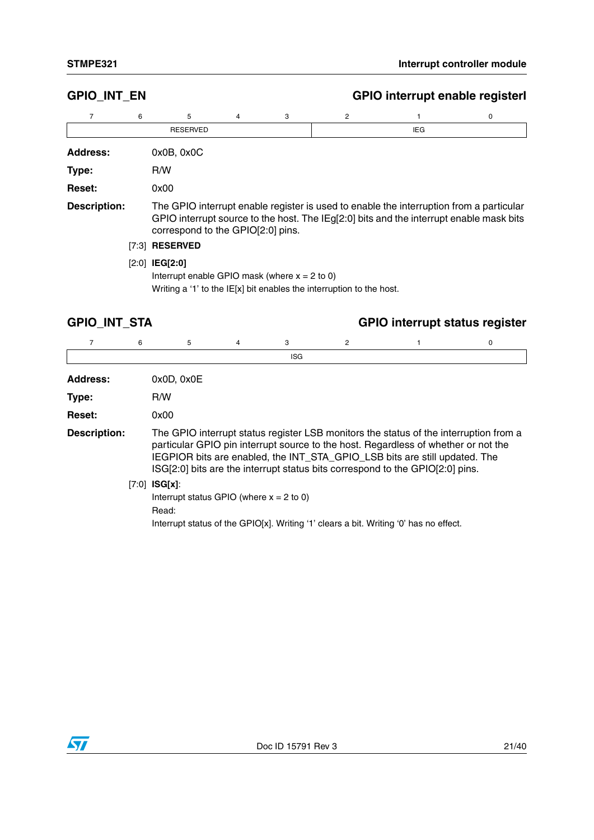## **GPIO\_INT\_EN GPIO interrupt enable registerI Address:** 0x0B, 0x0C **Type:** R/W **Reset:** 0x00 **Description:** The GPIO interrupt enable register is used to enable the interruption from a particular GPIO interrupt source to the host. The IEg[2:0] bits and the interrupt enable mask bits correspond to the GPIO[2:0] pins. 76543 2 1 0 RESERVED **IEG** [7:3] **RESERVED** [2:0] **IEG[2:0]** Interrupt enable GPIO mask (where  $x = 2$  to 0) Writing a '1' to the IE[x] bit enables the interruption to the host.

| <b>GPIO INT STA</b> |  |  |
|---------------------|--|--|
|---------------------|--|--|

## **GPIO\_INT\_STA GPIO interrupt status register**

|                     | 6 | 5                                                                      | 4 | 3          | 2 |                                                                                                                                                                                                                                                                                                                                            | 0 |
|---------------------|---|------------------------------------------------------------------------|---|------------|---|--------------------------------------------------------------------------------------------------------------------------------------------------------------------------------------------------------------------------------------------------------------------------------------------------------------------------------------------|---|
|                     |   |                                                                        |   | <b>ISG</b> |   |                                                                                                                                                                                                                                                                                                                                            |   |
| <b>Address:</b>     |   | 0x0D, 0x0E                                                             |   |            |   |                                                                                                                                                                                                                                                                                                                                            |   |
| Type:               |   | R/W                                                                    |   |            |   |                                                                                                                                                                                                                                                                                                                                            |   |
| <b>Reset:</b>       |   | 0x00                                                                   |   |            |   |                                                                                                                                                                                                                                                                                                                                            |   |
| <b>Description:</b> |   |                                                                        |   |            |   | The GPIO interrupt status register LSB monitors the status of the interruption from a<br>particular GPIO pin interrupt source to the host. Regardless of whether or not the<br>IEGPIOR bits are enabled, the INT_STA_GPIO_LSB bits are still updated. The<br>ISG[2:0] bits are the interrupt status bits correspond to the GPIO[2:0] pins. |   |
|                     |   | $[7:0]$ ISG[x]:<br>Interrupt status GPIO (where $x = 2$ to 0)<br>Read: |   |            |   | Interrupt status of the GPIO[x]. Writing '1' clears a bit. Writing '0' has no effect.                                                                                                                                                                                                                                                      |   |

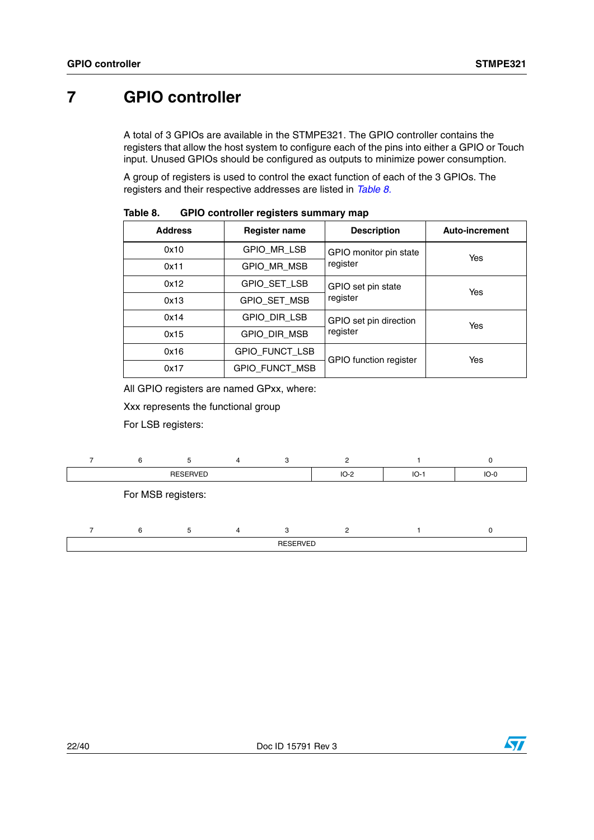## <span id="page-21-1"></span>**7 GPIO controller**

A total of 3 GPIOs are available in the STMPE321. The GPIO controller contains the registers that allow the host system to configure each of the pins into either a GPIO or Touch input. Unused GPIOs should be configured as outputs to minimize power consumption.

A group of registers is used to control the exact function of each of the 3 GPIOs. The registers and their respective addresses are listed in *[Table 8.](#page-21-0)*

| <b>Address</b> | <b>Register name</b>  | <b>Description</b>            | <b>Auto-increment</b> |  |  |  |  |
|----------------|-----------------------|-------------------------------|-----------------------|--|--|--|--|
| 0x10           | GPIO MR LSB           | GPIO monitor pin state        | Yes                   |  |  |  |  |
| 0x11           | GPIO_MR_MSB           | register                      |                       |  |  |  |  |
| 0x12           | GPIO_SET_LSB          | GPIO set pin state            | Yes                   |  |  |  |  |
| 0x13           | GPIO_SET_MSB          | register                      |                       |  |  |  |  |
| 0x14           | GPIO DIR LSB          | GPIO set pin direction        | Yes                   |  |  |  |  |
| 0x15           | <b>GPIO DIR MSB</b>   | register                      |                       |  |  |  |  |
| 0x16           | GPIO_FUNCT_LSB        | <b>GPIO</b> function register | Yes                   |  |  |  |  |
| 0x17           | <b>GPIO_FUNCT_MSB</b> |                               |                       |  |  |  |  |

<span id="page-21-0"></span>Table 8. **Table 8. GPIO controller registers summary map**

All GPIO registers are named GPxx, where:

Xxx represents the functional group

For LSB registers:

|  |                    | 4 |                 |        |        |        |
|--|--------------------|---|-----------------|--------|--------|--------|
|  | <b>RESERVED</b>    |   |                 | $IO-2$ | $IO-1$ | $IO-0$ |
|  | For MSB registers: |   |                 |        |        |        |
|  | $\mathbf{b}$       |   |                 |        |        |        |
|  |                    |   | <b>RESERVED</b> |        |        |        |

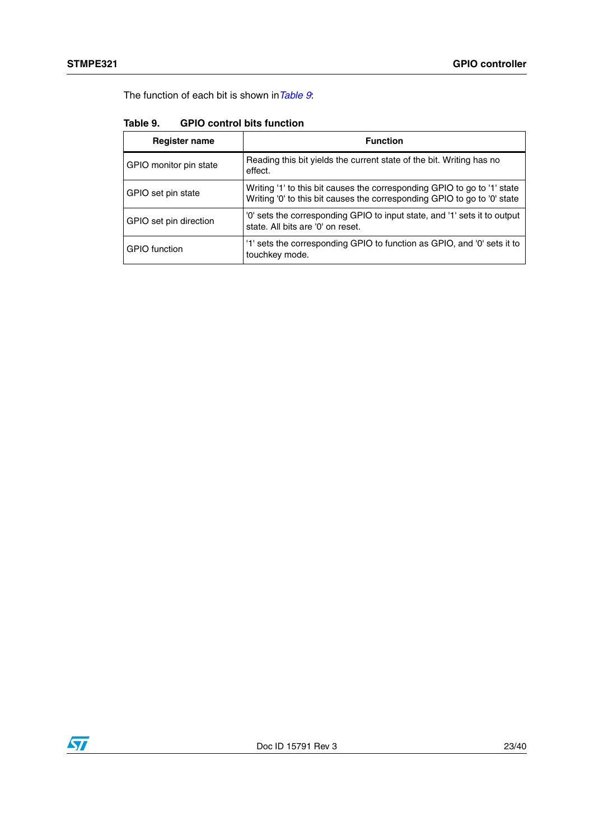The function of each bit is shown in*[Table 9](#page-22-0)*:

| <b>Register name</b>   | <b>Function</b>                                                                                                                                      |
|------------------------|------------------------------------------------------------------------------------------------------------------------------------------------------|
| GPIO monitor pin state | Reading this bit yields the current state of the bit. Writing has no<br>effect.                                                                      |
| GPIO set pin state     | Writing '1' to this bit causes the corresponding GPIO to go to '1' state<br>Writing '0' to this bit causes the corresponding GPIO to go to '0' state |
| GPIO set pin direction | '0' sets the corresponding GPIO to input state, and '1' sets it to output<br>state. All bits are '0' on reset.                                       |
| <b>GPIO</b> function   | '1' sets the corresponding GPIO to function as GPIO, and '0' sets it to<br>touchkey mode.                                                            |

<span id="page-22-0"></span>

| Table 9. |  | <b>GPIO control bits function</b> |
|----------|--|-----------------------------------|
|          |  |                                   |

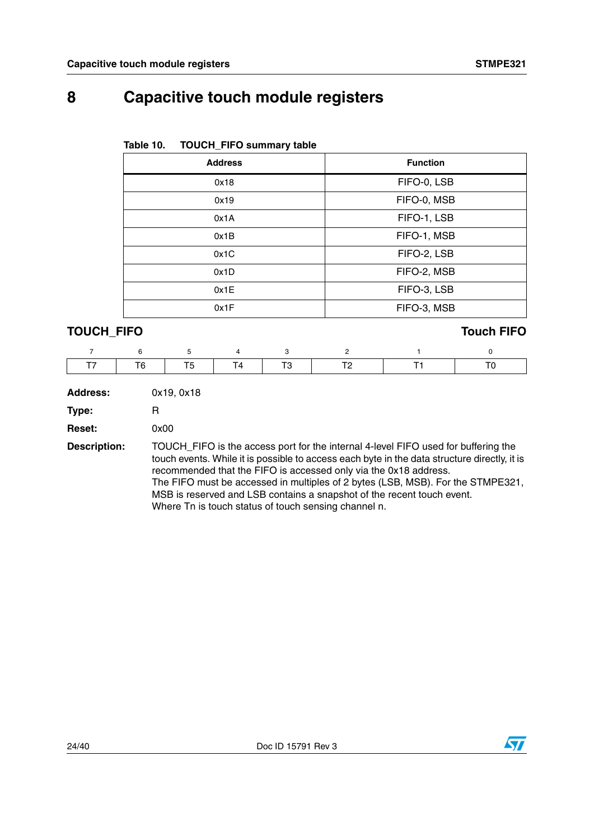## **8 Capacitive touch module registers**

| <b>TOUCH_FIFO summary table</b><br>Table 10. |                 |  |  |
|----------------------------------------------|-----------------|--|--|
| <b>Address</b>                               | <b>Function</b> |  |  |
| 0x18                                         | FIFO-0, LSB     |  |  |
| 0x19                                         | FIFO-0, MSB     |  |  |
| 0x1A                                         | FIFO-1, LSB     |  |  |
| 0x1B                                         | FIFO-1, MSB     |  |  |
| 0x1C                                         | FIFO-2, LSB     |  |  |
| 0x1D                                         | FIFO-2, MSB     |  |  |
| 0x1E                                         | FIFO-3, LSB     |  |  |
| 0x1F                                         | FIFO-3, MSB     |  |  |

## **TOUCH\_FIFO Touch FIFO**

|  |  |  | T7   T6   T5   T4   T3   T2   T1   T |  |
|--|--|--|--------------------------------------|--|

| Address: | 0x19, 0x18 |
|----------|------------|
| Type:    | R          |

**Reset:** 0x00

**Description:** TOUCH\_FIFO is the access port for the internal 4-level FIFO used for buffering the touch events. While it is possible to access each byte in the data structure directly, it is recommended that the FIFO is accessed only via the 0x18 address. The FIFO must be accessed in multiples of 2 bytes (LSB, MSB). For the STMPE321, MSB is reserved and LSB contains a snapshot of the recent touch event. Where Tn is touch status of touch sensing channel n.

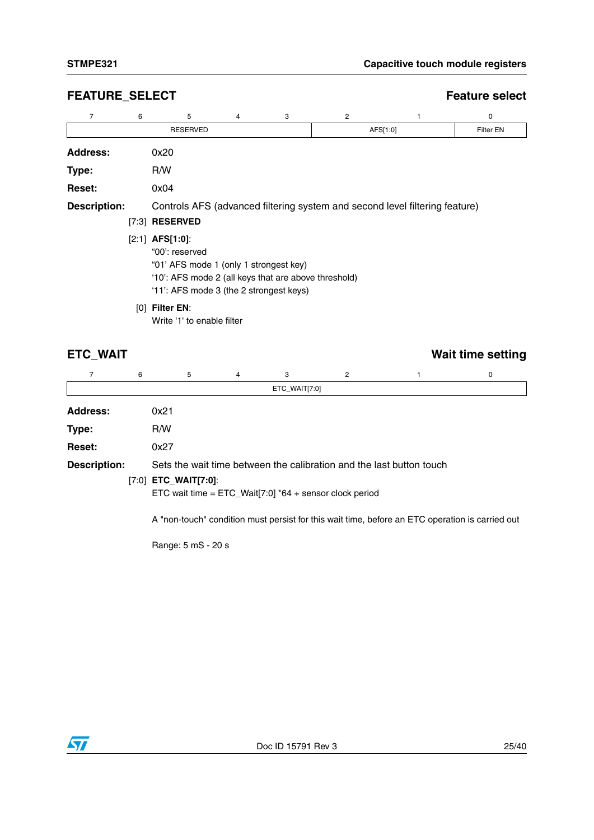## **FEATURE\_SELECT** extended that the extent of the extended of the extended of the extended of the extended of the extended of the extended of the extended of the extended of the extended of the extended of the extended of t

| 7                   | 6   | 5                                                                                                                                                                                                    | 4 | 3 | $\overline{2}$ |                                                                             | 0         |
|---------------------|-----|------------------------------------------------------------------------------------------------------------------------------------------------------------------------------------------------------|---|---|----------------|-----------------------------------------------------------------------------|-----------|
|                     |     | <b>RESERVED</b>                                                                                                                                                                                      |   |   |                | AFS[1:0]                                                                    | Filter EN |
| <b>Address:</b>     |     | 0x20                                                                                                                                                                                                 |   |   |                |                                                                             |           |
| Type:               |     | R/W                                                                                                                                                                                                  |   |   |                |                                                                             |           |
| <b>Reset:</b>       |     | 0x04                                                                                                                                                                                                 |   |   |                |                                                                             |           |
| <b>Description:</b> |     | $[7:3]$ RESERVED<br>$[2:1]$ AFS[1:0]:<br>"00': reserved<br>"01' AFS mode 1 (only 1 strongest key)<br>'10': AFS mode 2 (all keys that are above threshold)<br>'11': AFS mode 3 (the 2 strongest keys) |   |   |                | Controls AFS (advanced filtering system and second level filtering feature) |           |
|                     | [0] | <b>Filter EN:</b><br>Write '1' to enable filter                                                                                                                                                      |   |   |                |                                                                             |           |

## **ETC\_WAIT** Wait time setting

|                     | 6 | 5                                                                                          | 4 | 3             | 2 |                                                                                                 | 0 |
|---------------------|---|--------------------------------------------------------------------------------------------|---|---------------|---|-------------------------------------------------------------------------------------------------|---|
|                     |   |                                                                                            |   | ETC_WAIT[7:0] |   |                                                                                                 |   |
| <b>Address:</b>     |   | 0x21                                                                                       |   |               |   |                                                                                                 |   |
| Type:               |   | R/W                                                                                        |   |               |   |                                                                                                 |   |
| <b>Reset:</b>       |   | 0x27                                                                                       |   |               |   |                                                                                                 |   |
| <b>Description:</b> |   |                                                                                            |   |               |   | Sets the wait time between the calibration and the last button touch                            |   |
|                     |   | $[7:0]$ <b>ETC_WAIT[7:0]:</b><br>ETC wait time = ETC_Wait[7:0] $*64 +$ sensor clock period |   |               |   |                                                                                                 |   |
|                     |   |                                                                                            |   |               |   | A "non-touch" condition must persist for this wait time, before an ETC operation is carried out |   |

Range: 5 mS - 20 s

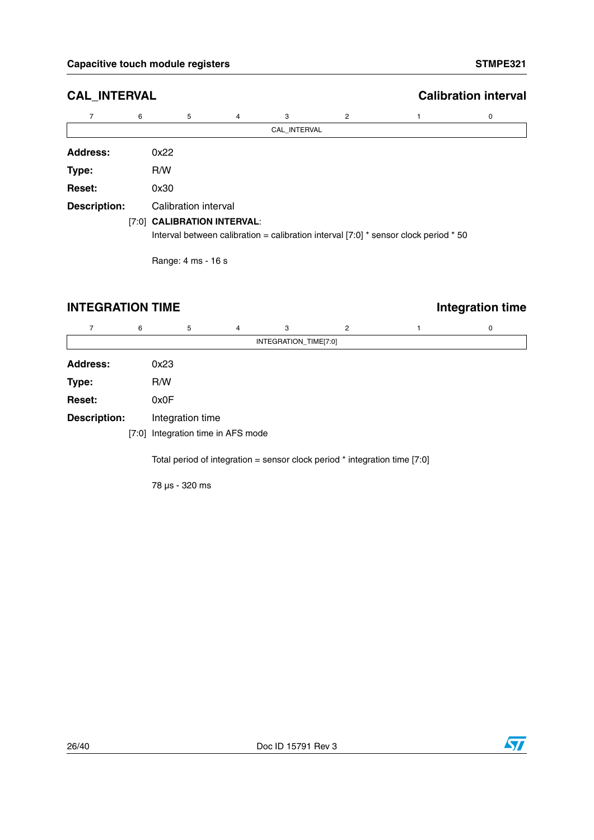| <b>CAL_INTERVAL</b> |   | <b>Calibration interval</b> |   |              |   |                                                                                        |   |
|---------------------|---|-----------------------------|---|--------------|---|----------------------------------------------------------------------------------------|---|
| 7                   | 6 | 5                           | 4 | 3            | 2 |                                                                                        | 0 |
|                     |   |                             |   | CAL INTERVAL |   |                                                                                        |   |
| Address:            |   | 0x22                        |   |              |   |                                                                                        |   |
| Type:               |   | R/W                         |   |              |   |                                                                                        |   |
| <b>Reset:</b>       |   | 0x30                        |   |              |   |                                                                                        |   |
| <b>Description:</b> |   | Calibration interval        |   |              |   |                                                                                        |   |
|                     |   | [7:0] CALIBRATION INTERVAL: |   |              |   | Interval between calibration = calibration interval $[7:0]$ * sensor clock period * 50 |   |

Range: 4 ms - 16 s

## **INTEGRATION TIME Integration time**

|                     | 6 | 5                                                                            | 4 | 3                     | 2 | 0 |
|---------------------|---|------------------------------------------------------------------------------|---|-----------------------|---|---|
|                     |   |                                                                              |   | INTEGRATION_TIME[7:0] |   |   |
| <b>Address:</b>     |   | 0x23                                                                         |   |                       |   |   |
| Type:               |   | R/W                                                                          |   |                       |   |   |
| Reset:              |   | 0x0F                                                                         |   |                       |   |   |
| <b>Description:</b> |   | Integration time                                                             |   |                       |   |   |
|                     |   | [7:0] Integration time in AFS mode                                           |   |                       |   |   |
|                     |   | Total period of integration = sensor clock period $*$ integration time [7:0] |   |                       |   |   |
|                     |   |                                                                              |   |                       |   |   |

78 µs - 320 ms

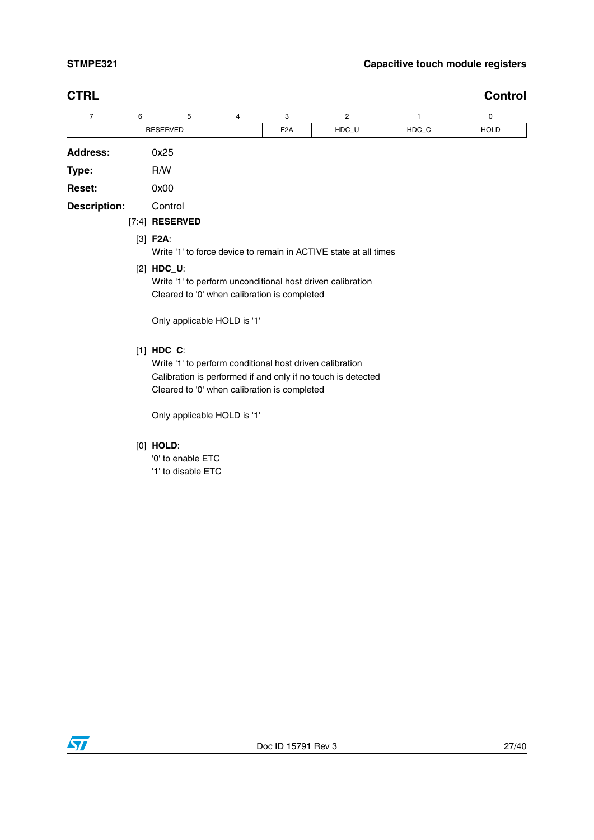| <b>CTRL</b>         |   |                                                                                                                                                                                                                         |                                                                  |                  |       |       | Control     |  |  |  |  |
|---------------------|---|-------------------------------------------------------------------------------------------------------------------------------------------------------------------------------------------------------------------------|------------------------------------------------------------------|------------------|-------|-------|-------------|--|--|--|--|
| 7                   | 6 | 5                                                                                                                                                                                                                       | 4                                                                | 3                | 2     | 1     | 0           |  |  |  |  |
|                     |   | <b>RESERVED</b>                                                                                                                                                                                                         |                                                                  | F <sub>2</sub> A | HDC_U | HDC C | <b>HOLD</b> |  |  |  |  |
| <b>Address:</b>     |   | 0x25                                                                                                                                                                                                                    |                                                                  |                  |       |       |             |  |  |  |  |
| Type:               |   | R/W                                                                                                                                                                                                                     |                                                                  |                  |       |       |             |  |  |  |  |
| Reset:              |   | 0x00                                                                                                                                                                                                                    |                                                                  |                  |       |       |             |  |  |  |  |
| <b>Description:</b> |   | Control                                                                                                                                                                                                                 |                                                                  |                  |       |       |             |  |  |  |  |
|                     |   | $[7:4]$ RESERVED                                                                                                                                                                                                        |                                                                  |                  |       |       |             |  |  |  |  |
|                     |   | $[3]$ F2A:                                                                                                                                                                                                              | Write '1' to force device to remain in ACTIVE state at all times |                  |       |       |             |  |  |  |  |
|                     |   | $[2]$ HDC_U:<br>Write '1' to perform unconditional host driven calibration<br>Cleared to '0' when calibration is completed                                                                                              |                                                                  |                  |       |       |             |  |  |  |  |
|                     |   | Only applicable HOLD is '1'                                                                                                                                                                                             |                                                                  |                  |       |       |             |  |  |  |  |
|                     |   | $[1]$ HDC_C:<br>Write '1' to perform conditional host driven calibration<br>Calibration is performed if and only if no touch is detected<br>Cleared to '0' when calibration is completed<br>Only applicable HOLD is '1' |                                                                  |                  |       |       |             |  |  |  |  |
|                     |   |                                                                                                                                                                                                                         |                                                                  |                  |       |       |             |  |  |  |  |

## [0] **HOLD**:

'0' to enable ETC '1' to disable ETC

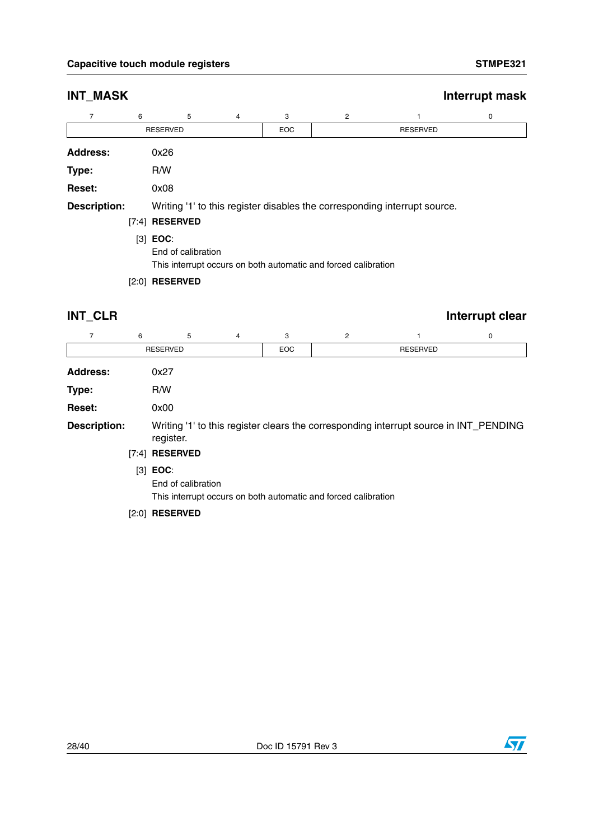| <b>INT_MASK</b>     |   |                  |                                                                                      |            |                |                                                                           | Interrupt mask |  |  |  |  |  |
|---------------------|---|------------------|--------------------------------------------------------------------------------------|------------|----------------|---------------------------------------------------------------------------|----------------|--|--|--|--|--|
| 7                   | 6 | 5                | 4                                                                                    | 3          | $\overline{2}$ |                                                                           | 0              |  |  |  |  |  |
|                     |   | <b>RESERVED</b>  |                                                                                      | <b>EOC</b> |                | <b>RESERVED</b>                                                           |                |  |  |  |  |  |
| <b>Address:</b>     |   | 0x26             |                                                                                      |            |                |                                                                           |                |  |  |  |  |  |
| Type:               |   | R/W              |                                                                                      |            |                |                                                                           |                |  |  |  |  |  |
| <b>Reset:</b>       |   | 0x08             |                                                                                      |            |                |                                                                           |                |  |  |  |  |  |
| <b>Description:</b> |   |                  |                                                                                      |            |                | Writing '1' to this register disables the corresponding interrupt source. |                |  |  |  |  |  |
|                     |   | $[7:4]$ RESERVED |                                                                                      |            |                |                                                                           |                |  |  |  |  |  |
|                     |   | $[3]$ EOC:       | End of calibration<br>This interrupt occurs on both automatic and forced calibration |            |                |                                                                           |                |  |  |  |  |  |
|                     |   | $[2:0]$ RESERVED |                                                                                      |            |                |                                                                           |                |  |  |  |  |  |

**INT\_CLR** Interrupt clear

| $\overline{7}$                                                                                                            | 6     | 5                                | 4 | 3          | $\overline{2}$                                                 |                 | 0 |
|---------------------------------------------------------------------------------------------------------------------------|-------|----------------------------------|---|------------|----------------------------------------------------------------|-----------------|---|
|                                                                                                                           |       | <b>RESERVED</b>                  |   | <b>EOC</b> |                                                                | <b>RESERVED</b> |   |
| <b>Address:</b>                                                                                                           |       | 0x27                             |   |            |                                                                |                 |   |
| Type:                                                                                                                     |       | R/W                              |   |            |                                                                |                 |   |
| <b>Reset:</b>                                                                                                             |       | 0x00                             |   |            |                                                                |                 |   |
| <b>Description:</b><br>Writing '1' to this register clears the corresponding interrupt source in INT_PENDING<br>register. |       |                                  |   |            |                                                                |                 |   |
|                                                                                                                           | [7:4] | <b>RESERVED</b>                  |   |            |                                                                |                 |   |
|                                                                                                                           |       | $[3]$ EOC:<br>End of calibration |   |            | This interrupt occurs on both automatic and forced calibration |                 |   |

### [2:0] **RESERVED**

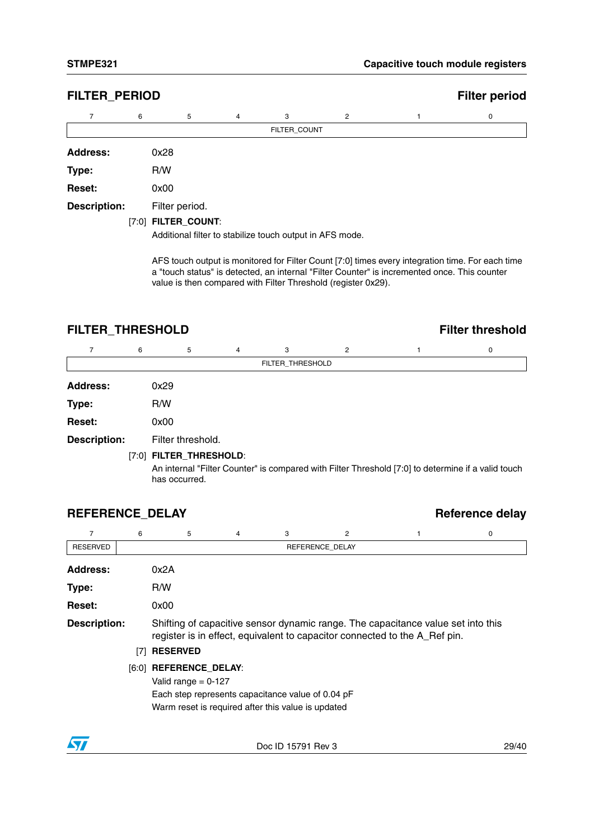## **FILTER\_PERIOD Filter period**

| 7                   | 6    | 5                   | $\overline{4}$ | 3                                                        | $\overline{2}$ | 0 |
|---------------------|------|---------------------|----------------|----------------------------------------------------------|----------------|---|
|                     |      |                     |                | FILTER_COUNT                                             |                |   |
| <b>Address:</b>     | 0x28 |                     |                |                                                          |                |   |
| Type:               | R/W  |                     |                |                                                          |                |   |
| Reset:              | 0x00 |                     |                |                                                          |                |   |
| <b>Description:</b> |      | Filter period.      |                |                                                          |                |   |
|                     |      | [7:0] FILTER_COUNT: |                |                                                          |                |   |
|                     |      |                     |                | Additional filter to stabilize touch output in AFS mode. |                |   |

AFS touch output is monitored for Filter Count [7:0] times every integration time. For each time a "touch status" is detected, an internal "Filter Counter" is incremented once. This counter value is then compared with Filter Threshold (register 0x29).

## FILTER\_THRESHOLD **FILTER** THRESHOLD

| 7                   | 6 | 5                       | 4 | 3                | 2 |                                                                                                    | 0 |
|---------------------|---|-------------------------|---|------------------|---|----------------------------------------------------------------------------------------------------|---|
|                     |   |                         |   | FILTER THRESHOLD |   |                                                                                                    |   |
| <b>Address:</b>     |   | 0x29                    |   |                  |   |                                                                                                    |   |
| Type:               |   | R/W                     |   |                  |   |                                                                                                    |   |
| Reset:              |   | 0x00                    |   |                  |   |                                                                                                    |   |
| <b>Description:</b> |   | Filter threshold.       |   |                  |   |                                                                                                    |   |
|                     |   | [7:0] FILTER_THRESHOLD: |   |                  |   |                                                                                                    |   |
|                     |   | has occurred.           |   |                  |   | An internal "Filter Counter" is compared with Filter Threshold [7:0] to determine if a valid touch |   |

## **REFERENCE\_DELAY Reference delay**

|                     | 6   | 5                                                  | 4                                                                                                                                                              | 3 | 2               |  | 0 |  |  |  |
|---------------------|-----|----------------------------------------------------|----------------------------------------------------------------------------------------------------------------------------------------------------------------|---|-----------------|--|---|--|--|--|
| <b>RESERVED</b>     |     |                                                    |                                                                                                                                                                |   | REFERENCE DELAY |  |   |  |  |  |
| <b>Address:</b>     |     | 0x2A                                               |                                                                                                                                                                |   |                 |  |   |  |  |  |
| Type:               |     | R/W                                                |                                                                                                                                                                |   |                 |  |   |  |  |  |
| <b>Reset:</b>       |     | 0x00                                               |                                                                                                                                                                |   |                 |  |   |  |  |  |
| <b>Description:</b> |     |                                                    | Shifting of capacitive sensor dynamic range. The capacitance value set into this<br>register is in effect, equivalent to capacitor connected to the A_Ref pin. |   |                 |  |   |  |  |  |
|                     | [7] | <b>RESERVED</b>                                    |                                                                                                                                                                |   |                 |  |   |  |  |  |
|                     |     | [6:0] REFERENCE_DELAY:                             |                                                                                                                                                                |   |                 |  |   |  |  |  |
|                     |     | Valid range = $0-127$                              |                                                                                                                                                                |   |                 |  |   |  |  |  |
|                     |     | Each step represents capacitance value of 0.04 pF  |                                                                                                                                                                |   |                 |  |   |  |  |  |
|                     |     | Warm reset is required after this value is updated |                                                                                                                                                                |   |                 |  |   |  |  |  |

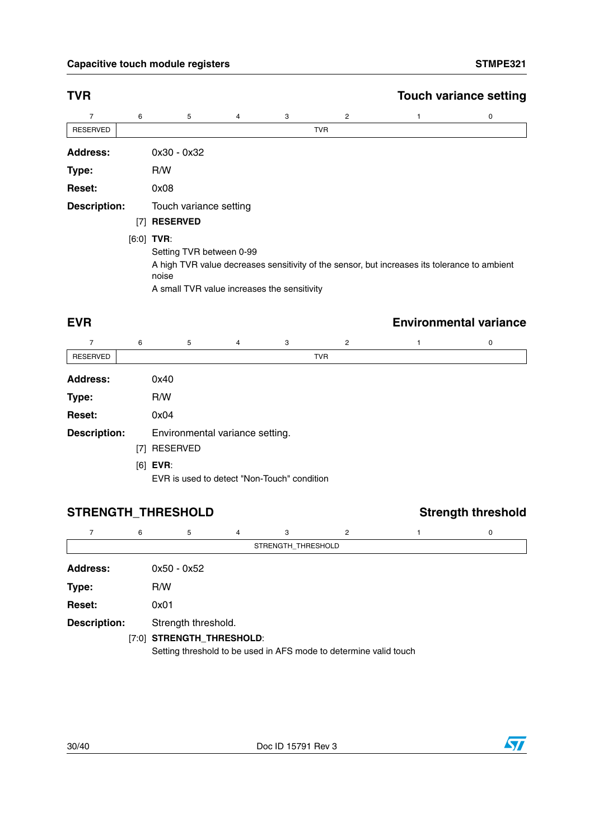### Capacitive touch module registers **STMPE321**

| <b>TVR</b>          |     |                                                                                                       |   |   |            | <b>Touch variance setting</b> |   |  |  |  |
|---------------------|-----|-------------------------------------------------------------------------------------------------------|---|---|------------|-------------------------------|---|--|--|--|
| 7                   | 6   | 5                                                                                                     | 4 | 3 | 2          |                               | 0 |  |  |  |
| <b>RESERVED</b>     |     |                                                                                                       |   |   | <b>TVR</b> |                               |   |  |  |  |
| <b>Address:</b>     |     | $0x30 - 0x32$                                                                                         |   |   |            |                               |   |  |  |  |
| Type:               |     | R/W                                                                                                   |   |   |            |                               |   |  |  |  |
| <b>Reset:</b>       |     | 0x08                                                                                                  |   |   |            |                               |   |  |  |  |
| <b>Description:</b> |     | Touch variance setting                                                                                |   |   |            |                               |   |  |  |  |
|                     | [7] | <b>RESERVED</b>                                                                                       |   |   |            |                               |   |  |  |  |
|                     |     | $[6:0]$ TVR:                                                                                          |   |   |            |                               |   |  |  |  |
|                     |     | Setting TVR between 0-99                                                                              |   |   |            |                               |   |  |  |  |
|                     |     | A high TVR value decreases sensitivity of the sensor, but increases its tolerance to ambient<br>noise |   |   |            |                               |   |  |  |  |

A small TVR value increases the sensitivity

## **EVR Environmental variance**

| 7                   | 6   | 5                                                         | 4 | 3 | 2          | 0 |
|---------------------|-----|-----------------------------------------------------------|---|---|------------|---|
| <b>RESERVED</b>     |     |                                                           |   |   | <b>TVR</b> |   |
| <b>Address:</b>     |     | 0x40                                                      |   |   |            |   |
| Type:               |     | R/W                                                       |   |   |            |   |
| Reset:              |     | 0x04                                                      |   |   |            |   |
| <b>Description:</b> |     | Environmental variance setting.                           |   |   |            |   |
|                     | [7] | <b>RESERVED</b>                                           |   |   |            |   |
|                     |     | $[6]$ EVR:<br>EVR is used to detect "Non-Touch" condition |   |   |            |   |

## **STRENGTH\_THRESHOLD Strength threshold**

|                     | 6 | 5                         | 4 | 3                  | 2                                                                 | 0 |
|---------------------|---|---------------------------|---|--------------------|-------------------------------------------------------------------|---|
|                     |   |                           |   | STRENGTH_THRESHOLD |                                                                   |   |
| <b>Address:</b>     |   | $0x50 - 0x52$             |   |                    |                                                                   |   |
| Type:               |   | R/W                       |   |                    |                                                                   |   |
| Reset:              |   | 0x01                      |   |                    |                                                                   |   |
| <b>Description:</b> |   | Strength threshold.       |   |                    |                                                                   |   |
|                     |   | [7:0] STRENGTH_THRESHOLD: |   |                    |                                                                   |   |
|                     |   |                           |   |                    | Setting threshold to be used in AFS mode to determine valid touch |   |

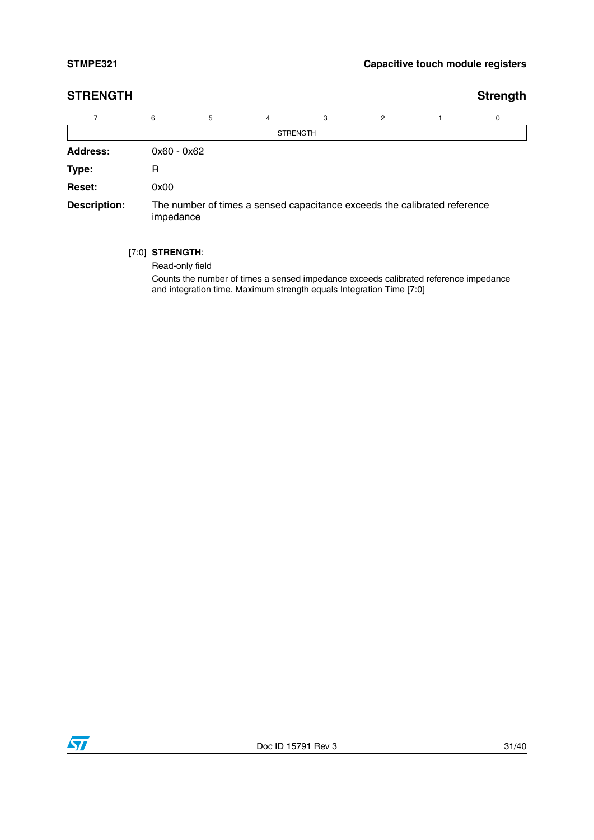| <b>STRENGTH</b>     |               |                                                                                        |                 |   |                |  | <b>Strength</b> |  |  |
|---------------------|---------------|----------------------------------------------------------------------------------------|-----------------|---|----------------|--|-----------------|--|--|
| $\overline{7}$      | 6             | 5                                                                                      | $\overline{4}$  | 3 | $\overline{2}$ |  | 0               |  |  |
|                     |               |                                                                                        | <b>STRENGTH</b> |   |                |  |                 |  |  |
| <b>Address:</b>     | $0x60 - 0x62$ |                                                                                        |                 |   |                |  |                 |  |  |
| Type:               | R             |                                                                                        |                 |   |                |  |                 |  |  |
| <b>Reset:</b>       | 0x00          |                                                                                        |                 |   |                |  |                 |  |  |
| <b>Description:</b> |               | The number of times a sensed capacitance exceeds the calibrated reference<br>impedance |                 |   |                |  |                 |  |  |

[7:0] **STRENGTH**:

Read-only field

Counts the number of times a sensed impedance exceeds calibrated reference impedance and integration time. Maximum strength equals Integration Time [7:0]

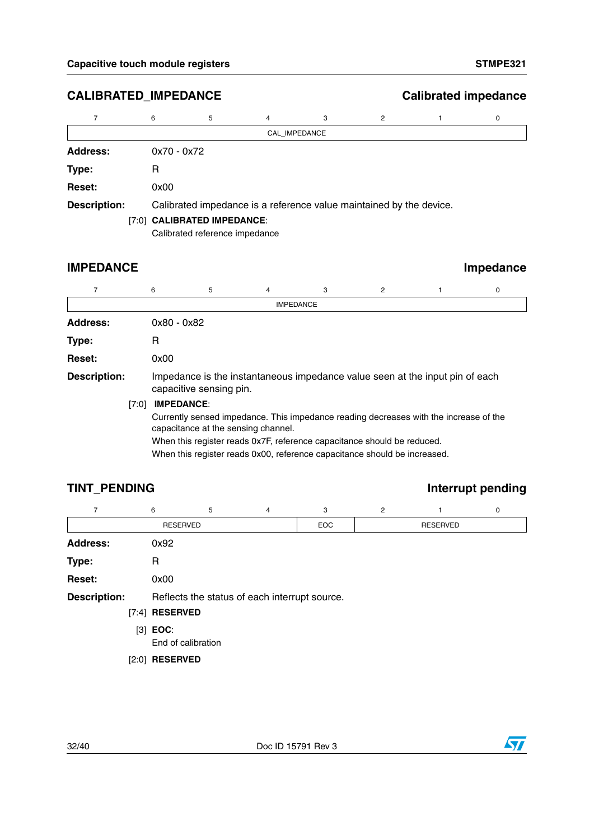## **CALIBRATED\_IMPEDANCE Calibrated impedance**

|                     | 6             | 5                              | 4 | 3             | 2                                                                   |  | 0 |  |  |  |
|---------------------|---------------|--------------------------------|---|---------------|---------------------------------------------------------------------|--|---|--|--|--|
|                     |               |                                |   | CAL IMPEDANCE |                                                                     |  |   |  |  |  |
| <b>Address:</b>     | $0x70 - 0x72$ |                                |   |               |                                                                     |  |   |  |  |  |
| Type:               | R             |                                |   |               |                                                                     |  |   |  |  |  |
| Reset:              | 0x00          |                                |   |               |                                                                     |  |   |  |  |  |
| <b>Description:</b> |               |                                |   |               | Calibrated impedance is a reference value maintained by the device. |  |   |  |  |  |
|                     |               | [7:0] CALIBRATED IMPEDANCE:    |   |               |                                                                     |  |   |  |  |  |
|                     |               | Calibrated reference impedance |   |               |                                                                     |  |   |  |  |  |

## **IMPEDANCE** Impedance

|                     | 6             | 5                                                                                                                            | 4 | 3                                                                         | 2 |  | 0 |  |  |  |  |  |
|---------------------|---------------|------------------------------------------------------------------------------------------------------------------------------|---|---------------------------------------------------------------------------|---|--|---|--|--|--|--|--|
|                     |               |                                                                                                                              |   | <b>IMPEDANCE</b>                                                          |   |  |   |  |  |  |  |  |
| <b>Address:</b>     | $0x80 - 0x82$ |                                                                                                                              |   |                                                                           |   |  |   |  |  |  |  |  |
| Type:               | R             |                                                                                                                              |   |                                                                           |   |  |   |  |  |  |  |  |
| <b>Reset:</b>       | 0x00          |                                                                                                                              |   |                                                                           |   |  |   |  |  |  |  |  |
| <b>Description:</b> |               | Impedance is the instantaneous impedance value seen at the input pin of each<br>capacitive sensing pin.                      |   |                                                                           |   |  |   |  |  |  |  |  |
|                     | [7:0]         | <b>IMPEDANCE:</b>                                                                                                            |   |                                                                           |   |  |   |  |  |  |  |  |
|                     |               | Currently sensed impedance. This impedance reading decreases with the increase of the<br>capacitance at the sensing channel. |   |                                                                           |   |  |   |  |  |  |  |  |
|                     |               | When this register reads 0x7F, reference capacitance should be reduced.                                                      |   |                                                                           |   |  |   |  |  |  |  |  |
|                     |               |                                                                                                                              |   | When this register reads 0x00, reference capacitance should be increased. |   |  |   |  |  |  |  |  |

## **TINT\_PENDING Interrupt pending**

| $\overline{7}$      | 6                | 5                                             | 4 | 3          | $\overline{c}$ |                 | 0 |  |  |
|---------------------|------------------|-----------------------------------------------|---|------------|----------------|-----------------|---|--|--|
|                     | <b>RESERVED</b>  |                                               |   | <b>EOC</b> |                | <b>RESERVED</b> |   |  |  |
| <b>Address:</b>     | 0x92             |                                               |   |            |                |                 |   |  |  |
| Type:               | R                |                                               |   |            |                |                 |   |  |  |
| Reset:              | 0x00             |                                               |   |            |                |                 |   |  |  |
| <b>Description:</b> |                  | Reflects the status of each interrupt source. |   |            |                |                 |   |  |  |
|                     | $[7:4]$ RESERVED |                                               |   |            |                |                 |   |  |  |
|                     | $[3]$ EOC:       | End of calibration                            |   |            |                |                 |   |  |  |

[2:0] **RESERVED**

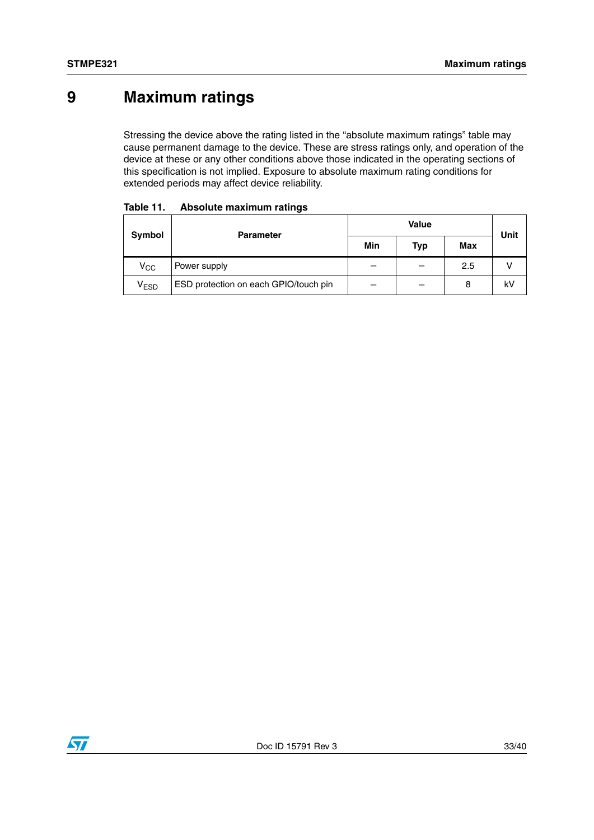## **9 Maximum ratings**

Stressing the device above the rating listed in the "absolute maximum ratings" table may cause permanent damage to the device. These are stress ratings only, and operation of the device at these or any other conditions above those indicated in the operating sections of this specification is not implied. Exposure to absolute maximum rating conditions for extended periods may affect device reliability.

| Symbol                             | <b>Parameter</b>                      |     | Unit       |            |    |
|------------------------------------|---------------------------------------|-----|------------|------------|----|
|                                    |                                       | Min | <b>Typ</b> | <b>Max</b> |    |
| $V_{\rm CC}$                       | Power supply                          | –   |            | 2.5        |    |
| $\bm{{\mathsf{v}}}_{\mathsf{ESD}}$ | ESD protection on each GPIO/touch pin | –   |            | 8          | kV |

| Table 11. |  | Absolute maximum ratings |
|-----------|--|--------------------------|
|-----------|--|--------------------------|

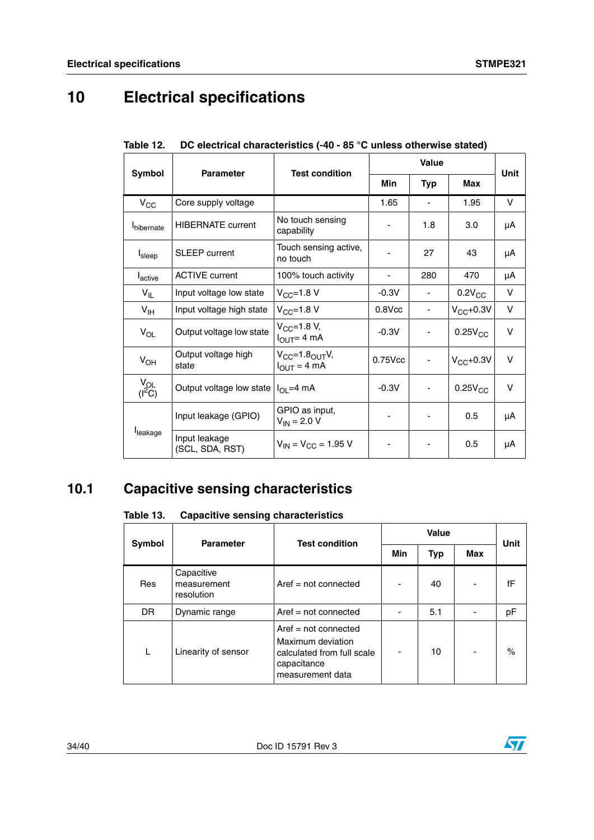# **10 Electrical specifications**

|                        | <b>Parameter</b>                 | <b>Test condition</b>                                  |              |                          | <b>Unit</b>   |        |
|------------------------|----------------------------------|--------------------------------------------------------|--------------|--------------------------|---------------|--------|
| Symbol                 |                                  |                                                        | Min          | <b>Typ</b>               | Max           |        |
| $V_{\rm CC}$           | Core supply voltage              |                                                        | 1.65         | $\overline{\phantom{a}}$ | 1.95          | V      |
| <b>I</b> hibernate     | <b>HIBERNATE current</b>         | No touch sensing<br>capability                         |              | 1.8                      | 3.0           | μA     |
| Isleep                 | <b>SLEEP</b> current             | Touch sensing active,<br>no touch                      |              | 27                       | 43            | μA     |
| <b>L</b> active        | <b>ACTIVE</b> current            | 100% touch activity                                    |              | 280                      | 470           | μA     |
| $V_{IL}$               | Input voltage low state          | $V_{CC} = 1.8 V$                                       | $-0.3V$      |                          | $0.2V_{CC}$   | v      |
| $V_{\text{IH}}$        | Input voltage high state         | $V_{CC}$ =1.8 V                                        | $0.8$ V $cc$ |                          | $V_{CC}+0.3V$ | $\vee$ |
| $V_{OL}$               | Output voltage low state         | $V_{CC} = 1.8 V,$<br>$I_{\text{OUT}} = 4 \text{ mA}$   | $-0.3V$      |                          | $0.25V_{CC}$  | v      |
| $V_{OH}$               | Output voltage high<br>state     | $V_{CC} = 1.8OUTV,$<br>$I_{\text{OUT}} = 4 \text{ mA}$ | 0.75Vcc      | -                        | $V_{CC}+0.3V$ | V      |
| $V_{OL}$<br>( $1^2C$ ) | Output voltage low state         | $I_{\Omega}$ =4 mA                                     | $-0.3V$      |                          | $0.25V_{CC}$  | V      |
|                        | Input leakage (GPIO)             | GPIO as input,<br>$V_{IN}$ = 2.0 V                     |              |                          | 0.5           | μA     |
| leakage                | Input leakage<br>(SCL, SDA, RST) | $V_{IN} = V_{CC} = 1.95 V$                             |              |                          | 0.5           | μA     |

|  | Table 12. DC electrical characteristics (-40 - 85 °C unless otherwise stated) |
|--|-------------------------------------------------------------------------------|
|  |                                                                               |

## **10.1 Capacitive sensing characteristics**

### Table 13. **Table 13. Capacitive sensing characteristics**

| Symbol | <b>Parameter</b>                        | <b>Test condition</b>                                                                                        | Value |     |     |      |
|--------|-----------------------------------------|--------------------------------------------------------------------------------------------------------------|-------|-----|-----|------|
|        |                                         |                                                                                                              | Min   | Typ | Max | Unit |
| Res    | Capacitive<br>measurement<br>resolution | $Aref = not connected$                                                                                       |       | 40  |     | fF   |
| DR.    | Dynamic range                           | $Aref = not connected$                                                                                       |       | 5.1 |     | pF   |
| L      | Linearity of sensor                     | $Aref = not connected$<br>Maximum deviation<br>calculated from full scale<br>capacitance<br>measurement data |       | 10  |     | $\%$ |

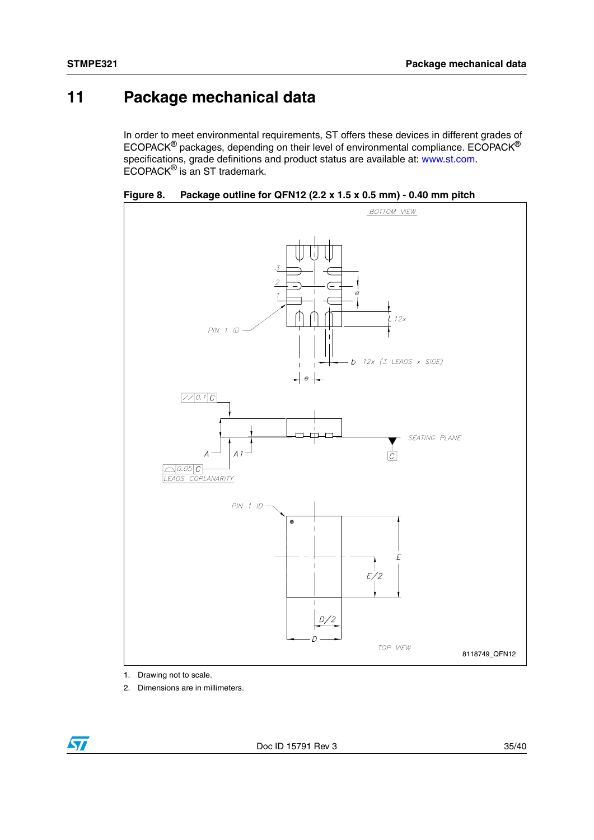## **11 Package mechanical data**

In order to meet environmental requirements, ST offers these devices in different grades of ECOPACK® packages, depending on their level of environmental compliance. ECOPACK® specifications, grade definitions and product status are available at: www.st.com. ECOPACK® is an ST trademark.



**Figure 8. Package outline for QFN12 (2.2 x 1.5 x 0.5 mm) - 0.40 mm pitch**

1. Drawing not to scale.

2. Dimensions are in millimeters.

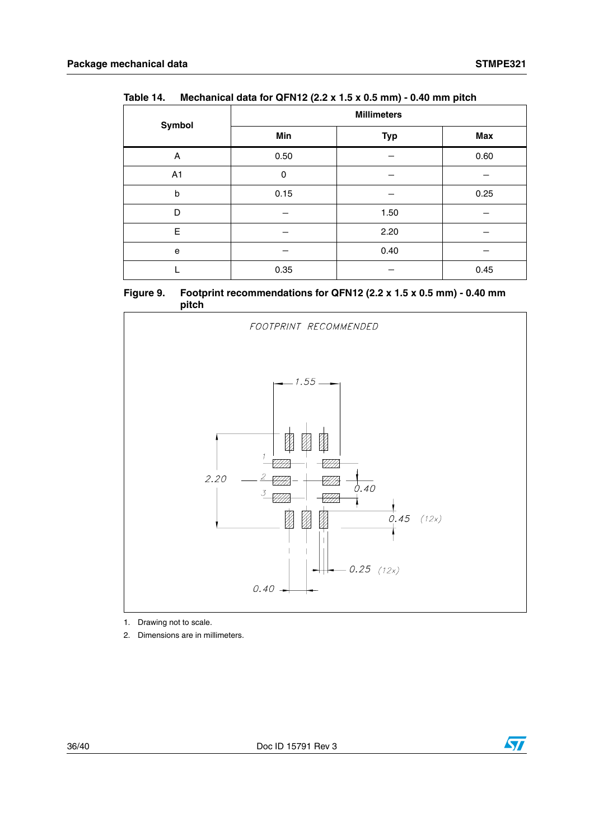| Symbol      | <b>Millimeters</b> |            |      |  |  |
|-------------|--------------------|------------|------|--|--|
|             | Min                | <b>Typ</b> | Max  |  |  |
| Α           | 0.50               |            | 0.60 |  |  |
| A1          | $\Omega$           |            |      |  |  |
| $\mathbf b$ | 0.15               |            | 0.25 |  |  |
| D           |                    | 1.50       |      |  |  |
| E           |                    | 2.20       |      |  |  |
| e           |                    | 0.40       |      |  |  |
|             | 0.35               |            | 0.45 |  |  |





1. Drawing not to scale.

2. Dimensions are in millimeters.

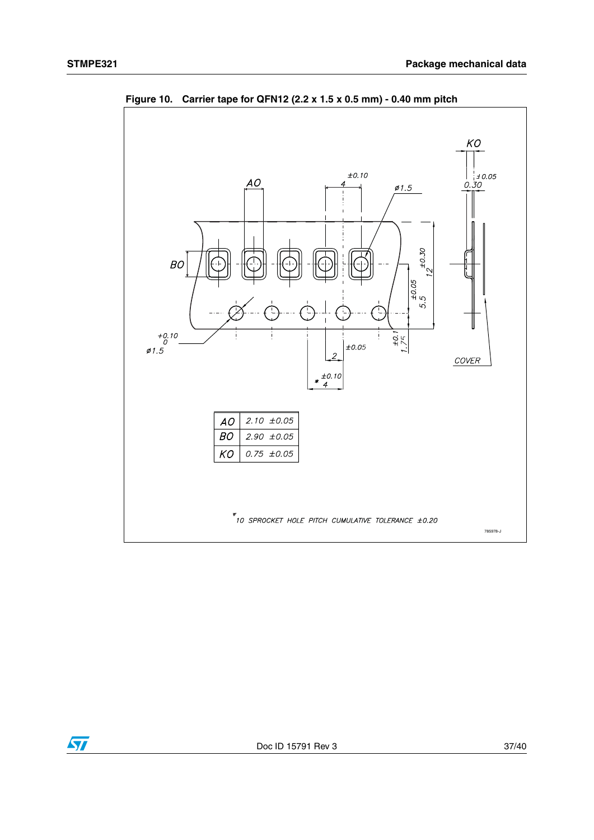

**Figure 10. Carrier tape for QFN12 (2.2 x 1.5 x 0.5 mm) - 0.40 mm pitch**

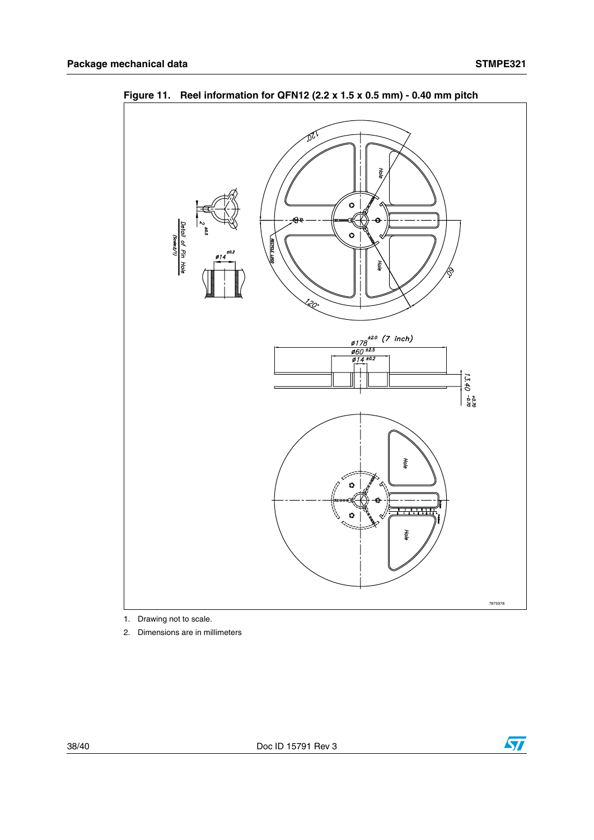

**Figure 11. Reel information for QFN12 (2.2 x 1.5 x 0.5 mm) - 0.40 mm pitch** 

1. Drawing not to scale.

2. Dimensions are in millimeters

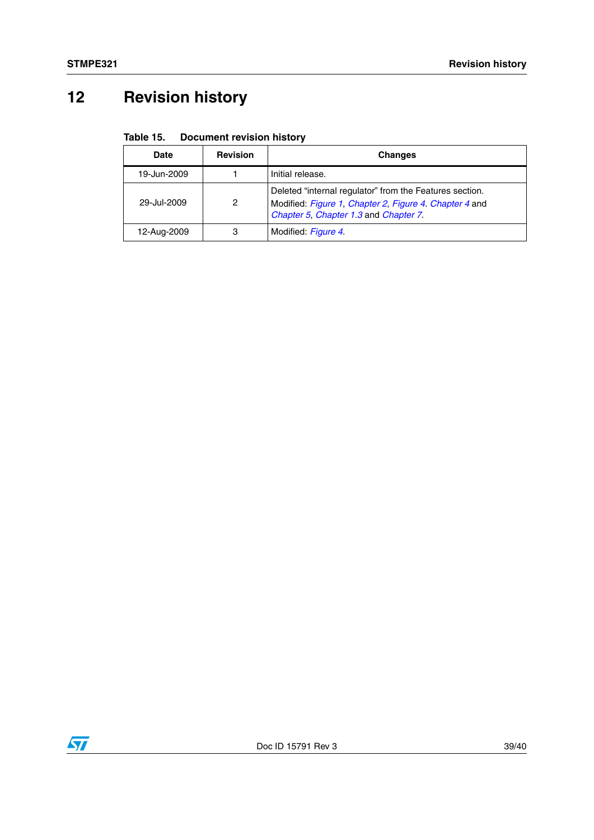# **12 Revision history**

### Table 15. **Document revision history**

| Date        | <b>Revision</b>                                                                                                                                                 | <b>Changes</b>      |
|-------------|-----------------------------------------------------------------------------------------------------------------------------------------------------------------|---------------------|
| 19-Jun-2009 |                                                                                                                                                                 | Initial release.    |
| 29-Jul-2009 | Deleted "internal regulator" from the Features section.<br>2<br>Modified: Figure 1, Chapter 2, Figure 4. Chapter 4 and<br>Chapter 5, Chapter 1.3 and Chapter 7. |                     |
| 12-Aug-2009 | 3                                                                                                                                                               | Modified: Figure 4. |